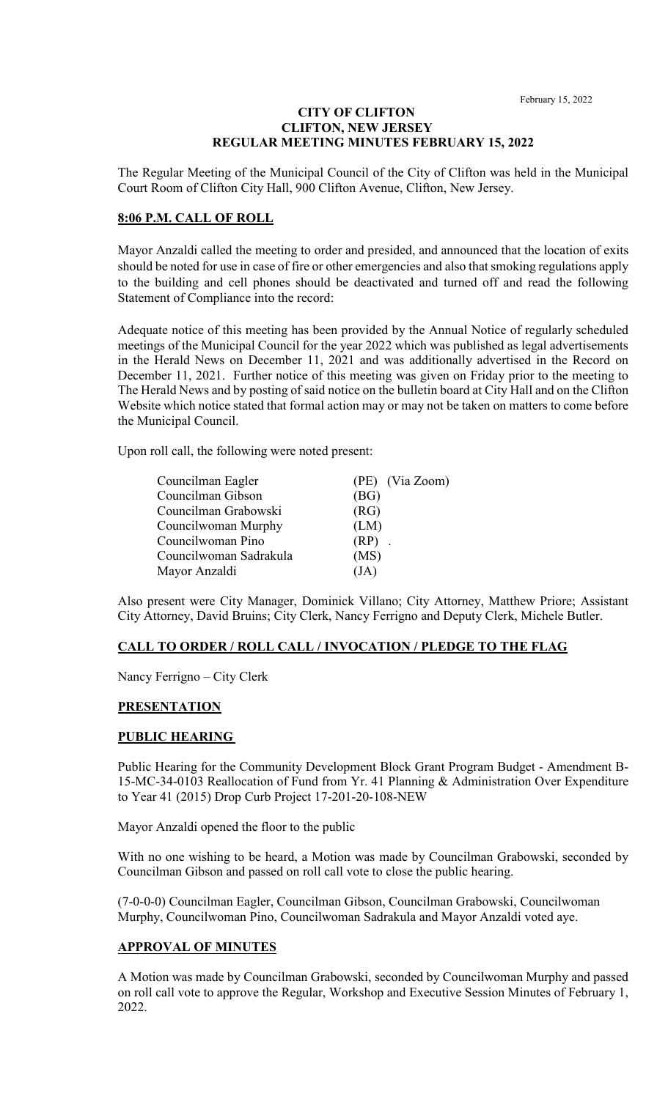#### **CITY OF CLIFTON CLIFTON, NEW JERSEY REGULAR MEETING MINUTES FEBRUARY 15, 2022**

The Regular Meeting of the Municipal Council of the City of Clifton was held in the Municipal Court Room of Clifton City Hall, 900 Clifton Avenue, Clifton, New Jersey.

### **8:06 P.M. CALL OF ROLL**

Mayor Anzaldi called the meeting to order and presided, and announced that the location of exits should be noted for use in case of fire or other emergencies and also that smoking regulations apply to the building and cell phones should be deactivated and turned off and read the following Statement of Compliance into the record:

Adequate notice of this meeting has been provided by the Annual Notice of regularly scheduled meetings of the Municipal Council for the year 2022 which was published as legal advertisements in the Herald News on December 11, 2021 and was additionally advertised in the Record on December 11, 2021. Further notice of this meeting was given on Friday prior to the meeting to The Herald News and by posting of said notice on the bulletin board at City Hall and on the Clifton Website which notice stated that formal action may or may not be taken on matters to come before the Municipal Council.

Upon roll call, the following were noted present:

| Councilman Eagler      | (PE) (Via Zoom) |
|------------------------|-----------------|
| Councilman Gibson      | (BG)            |
| Councilman Grabowski   | (RG)            |
| Councilwoman Murphy    | (LM)            |
| Councilwoman Pino      | $(RP)$ .        |
| Councilwoman Sadrakula | (MS)            |
| Mayor Anzaldi          | (JA)            |

Also present were City Manager, Dominick Villano; City Attorney, Matthew Priore; Assistant City Attorney, David Bruins; City Clerk, Nancy Ferrigno and Deputy Clerk, Michele Butler.

## **CALL TO ORDER / ROLL CALL / INVOCATION / PLEDGE TO THE FLAG**

Nancy Ferrigno – City Clerk

## **PRESENTATION**

## **PUBLIC HEARING**

Public Hearing for the Community Development Block Grant Program Budget - Amendment B-15-MC-34-0103 Reallocation of Fund from Yr. 41 Planning & Administration Over Expenditure to Year 41 (2015) Drop Curb Project 17-201-20-108-NEW

Mayor Anzaldi opened the floor to the public

With no one wishing to be heard, a Motion was made by Councilman Grabowski, seconded by Councilman Gibson and passed on roll call vote to close the public hearing.

(7-0-0-0) Councilman Eagler, Councilman Gibson, Councilman Grabowski, Councilwoman Murphy, Councilwoman Pino, Councilwoman Sadrakula and Mayor Anzaldi voted aye.

#### **APPROVAL OF MINUTES**

A Motion was made by Councilman Grabowski, seconded by Councilwoman Murphy and passed on roll call vote to approve the Regular, Workshop and Executive Session Minutes of February 1, 2022.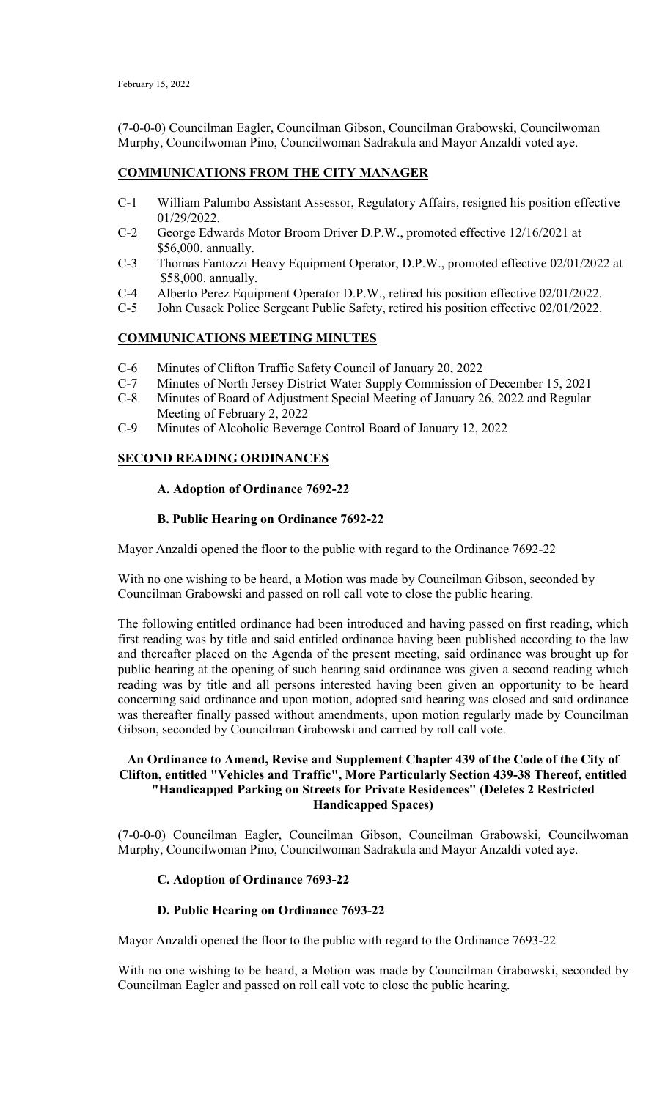(7-0-0-0) Councilman Eagler, Councilman Gibson, Councilman Grabowski, Councilwoman Murphy, Councilwoman Pino, Councilwoman Sadrakula and Mayor Anzaldi voted aye.

# **COMMUNICATIONS FROM THE CITY MANAGER**

- C-1 William Palumbo Assistant Assessor, Regulatory Affairs, resigned his position effective 01/29/2022.<br>C-2 George Edw
- George Edwards Motor Broom Driver D.P.W., promoted effective 12/16/2021 at \$56,000. annually.
- C-3 Thomas Fantozzi Heavy Equipment Operator, D.P.W., promoted effective 02/01/2022 at \$58,000. annually.
- C-4 Alberto Perez Equipment Operator D.P.W., retired his position effective 02/01/2022.
- C-5 John Cusack Police Sergeant Public Safety, retired his position effective 02/01/2022.

## **COMMUNICATIONS MEETING MINUTES**

- C-6 Minutes of Clifton Traffic Safety Council of January 20, 2022
- C-7 Minutes of North Jersey District Water Supply Commission of December 15, 2021
- C-8 Minutes of Board of Adjustment Special Meeting of January 26, 2022 and Regular
- Meeting of February 2, 2022
- C-9 Minutes of Alcoholic Beverage Control Board of January 12, 2022

## **SECOND READING ORDINANCES**

## **A. Adoption of Ordinance 7692-22**

## **B. Public Hearing on Ordinance 7692-22**

Mayor Anzaldi opened the floor to the public with regard to the Ordinance 7692-22

With no one wishing to be heard, a Motion was made by Councilman Gibson, seconded by Councilman Grabowski and passed on roll call vote to close the public hearing.

The following entitled ordinance had been introduced and having passed on first reading, which first reading was by title and said entitled ordinance having been published according to the law and thereafter placed on the Agenda of the present meeting, said ordinance was brought up for public hearing at the opening of such hearing said ordinance was given a second reading which reading was by title and all persons interested having been given an opportunity to be heard concerning said ordinance and upon motion, adopted said hearing was closed and said ordinance was thereafter finally passed without amendments, upon motion regularly made by Councilman Gibson, seconded by Councilman Grabowski and carried by roll call vote.

# **An Ordinance to Amend, Revise and Supplement Chapter 439 of the Code of the City of Clifton, entitled "Vehicles and Traffic", More Particularly Section 439-38 Thereof, entitled "Handicapped Parking on Streets for Private Residences" (Deletes 2 Restricted Handicapped Spaces)**

(7-0-0-0) Councilman Eagler, Councilman Gibson, Councilman Grabowski, Councilwoman Murphy, Councilwoman Pino, Councilwoman Sadrakula and Mayor Anzaldi voted aye.

## **C. Adoption of Ordinance 7693-22**

## **D. Public Hearing on Ordinance 7693-22**

Mayor Anzaldi opened the floor to the public with regard to the Ordinance 7693-22

With no one wishing to be heard, a Motion was made by Councilman Grabowski, seconded by Councilman Eagler and passed on roll call vote to close the public hearing.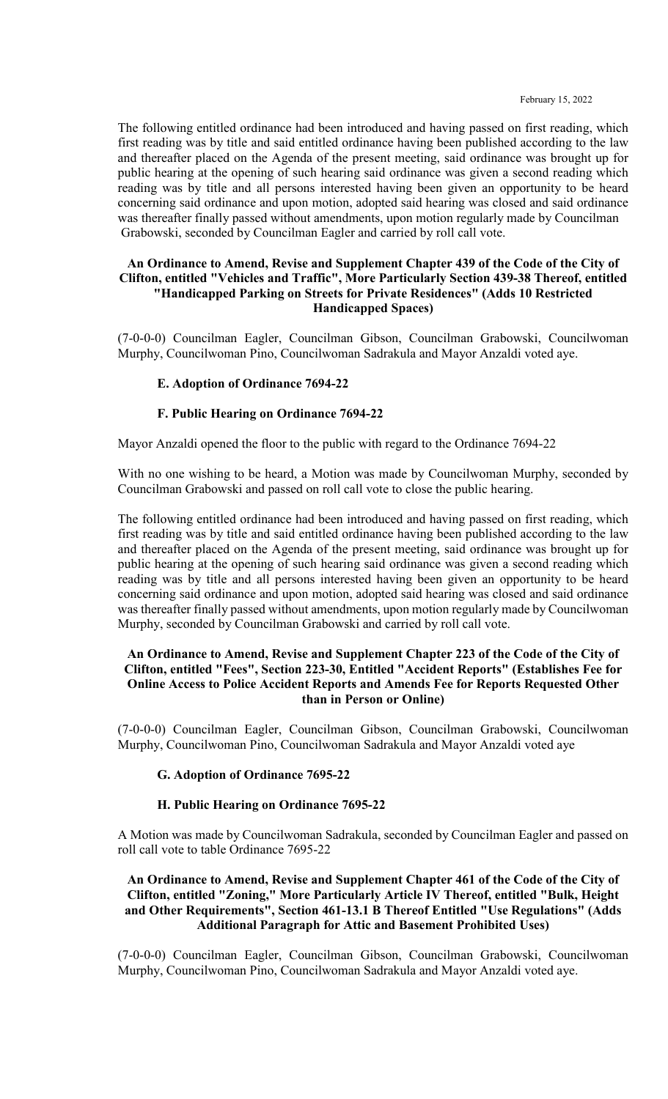The following entitled ordinance had been introduced and having passed on first reading, which first reading was by title and said entitled ordinance having been published according to the law and thereafter placed on the Agenda of the present meeting, said ordinance was brought up for public hearing at the opening of such hearing said ordinance was given a second reading which reading was by title and all persons interested having been given an opportunity to be heard concerning said ordinance and upon motion, adopted said hearing was closed and said ordinance was thereafter finally passed without amendments, upon motion regularly made by Councilman Grabowski, seconded by Councilman Eagler and carried by roll call vote.

#### **An Ordinance to Amend, Revise and Supplement Chapter 439 of the Code of the City of Clifton, entitled "Vehicles and Traffic", More Particularly Section 439-38 Thereof, entitled "Handicapped Parking on Streets for Private Residences" (Adds 10 Restricted Handicapped Spaces)**

(7-0-0-0) Councilman Eagler, Councilman Gibson, Councilman Grabowski, Councilwoman Murphy, Councilwoman Pino, Councilwoman Sadrakula and Mayor Anzaldi voted aye.

#### **E. Adoption of Ordinance 7694-22**

#### **F. Public Hearing on Ordinance 7694-22**

Mayor Anzaldi opened the floor to the public with regard to the Ordinance 7694-22

With no one wishing to be heard, a Motion was made by Councilwoman Murphy, seconded by Councilman Grabowski and passed on roll call vote to close the public hearing.

The following entitled ordinance had been introduced and having passed on first reading, which first reading was by title and said entitled ordinance having been published according to the law and thereafter placed on the Agenda of the present meeting, said ordinance was brought up for public hearing at the opening of such hearing said ordinance was given a second reading which reading was by title and all persons interested having been given an opportunity to be heard concerning said ordinance and upon motion, adopted said hearing was closed and said ordinance was thereafter finally passed without amendments, upon motion regularly made by Councilwoman Murphy, seconded by Councilman Grabowski and carried by roll call vote.

#### **An Ordinance to Amend, Revise and Supplement Chapter 223 of the Code of the City of Clifton, entitled "Fees", Section 223-30, Entitled "Accident Reports" (Establishes Fee for Online Access to Police Accident Reports and Amends Fee for Reports Requested Other than in Person or Online)**

(7-0-0-0) Councilman Eagler, Councilman Gibson, Councilman Grabowski, Councilwoman Murphy, Councilwoman Pino, Councilwoman Sadrakula and Mayor Anzaldi voted aye

## **G. Adoption of Ordinance 7695-22**

#### **H. Public Hearing on Ordinance 7695-22**

A Motion was made by Councilwoman Sadrakula, seconded by Councilman Eagler and passed on roll call vote to table Ordinance 7695-22

# **An Ordinance to Amend, Revise and Supplement Chapter 461 of the Code of the City of Clifton, entitled "Zoning," More Particularly Article IV Thereof, entitled "Bulk, Height and Other Requirements", Section 461-13.1 B Thereof Entitled "Use Regulations" (Adds Additional Paragraph for Attic and Basement Prohibited Uses)**

(7-0-0-0) Councilman Eagler, Councilman Gibson, Councilman Grabowski, Councilwoman Murphy, Councilwoman Pino, Councilwoman Sadrakula and Mayor Anzaldi voted aye.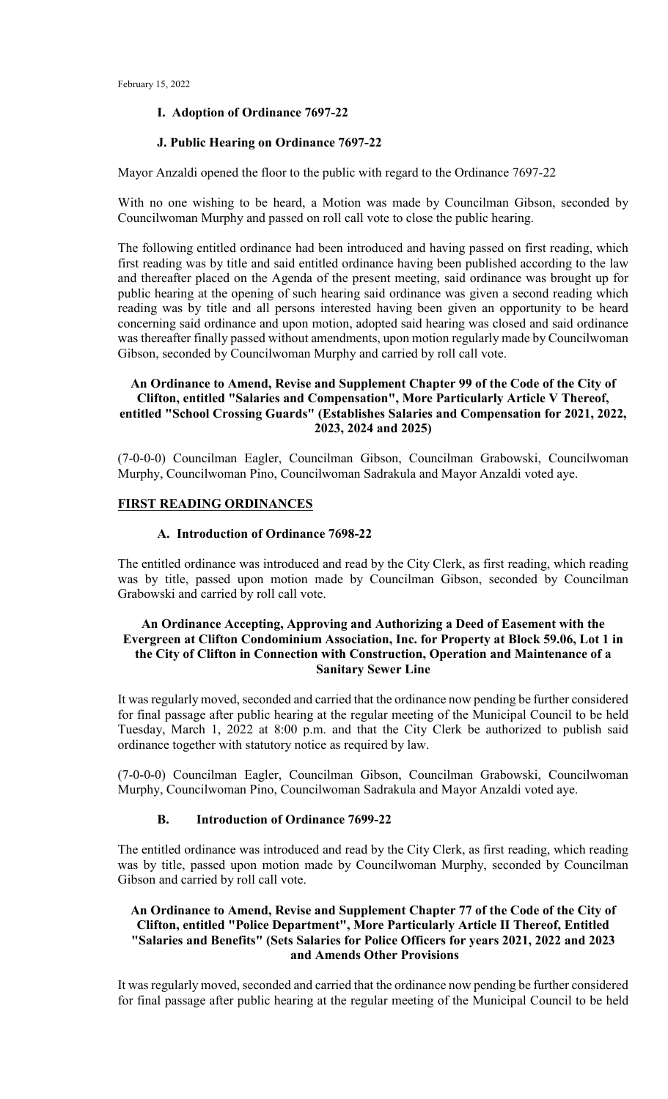#### **I. Adoption of Ordinance 7697-22**

#### **J. Public Hearing on Ordinance 7697-22**

Mayor Anzaldi opened the floor to the public with regard to the Ordinance 7697-22

With no one wishing to be heard, a Motion was made by Councilman Gibson, seconded by Councilwoman Murphy and passed on roll call vote to close the public hearing.

The following entitled ordinance had been introduced and having passed on first reading, which first reading was by title and said entitled ordinance having been published according to the law and thereafter placed on the Agenda of the present meeting, said ordinance was brought up for public hearing at the opening of such hearing said ordinance was given a second reading which reading was by title and all persons interested having been given an opportunity to be heard concerning said ordinance and upon motion, adopted said hearing was closed and said ordinance was thereafter finally passed without amendments, upon motion regularly made by Councilwoman Gibson, seconded by Councilwoman Murphy and carried by roll call vote.

#### **An Ordinance to Amend, Revise and Supplement Chapter 99 of the Code of the City of Clifton, entitled "Salaries and Compensation", More Particularly Article V Thereof, entitled "School Crossing Guards" (Establishes Salaries and Compensation for 2021, 2022, 2023, 2024 and 2025)**

(7-0-0-0) Councilman Eagler, Councilman Gibson, Councilman Grabowski, Councilwoman Murphy, Councilwoman Pino, Councilwoman Sadrakula and Mayor Anzaldi voted aye.

#### **FIRST READING ORDINANCES**

#### **A. Introduction of Ordinance 7698-22**

The entitled ordinance was introduced and read by the City Clerk, as first reading, which reading was by title, passed upon motion made by Councilman Gibson, seconded by Councilman Grabowski and carried by roll call vote.

#### **An Ordinance Accepting, Approving and Authorizing a Deed of Easement with the Evergreen at Clifton Condominium Association, Inc. for Property at Block 59.06, Lot 1 in the City of Clifton in Connection with Construction, Operation and Maintenance of a Sanitary Sewer Line**

It was regularly moved, seconded and carried that the ordinance now pending be further considered for final passage after public hearing at the regular meeting of the Municipal Council to be held Tuesday, March 1, 2022 at 8:00 p.m. and that the City Clerk be authorized to publish said ordinance together with statutory notice as required by law.

(7-0-0-0) Councilman Eagler, Councilman Gibson, Councilman Grabowski, Councilwoman Murphy, Councilwoman Pino, Councilwoman Sadrakula and Mayor Anzaldi voted aye.

#### **B. Introduction of Ordinance 7699-22**

The entitled ordinance was introduced and read by the City Clerk, as first reading, which reading was by title, passed upon motion made by Councilwoman Murphy, seconded by Councilman Gibson and carried by roll call vote.

## **An Ordinance to Amend, Revise and Supplement Chapter 77 of the Code of the City of Clifton, entitled "Police Department", More Particularly Article II Thereof, Entitled "Salaries and Benefits" (Sets Salaries for Police Officers for years 2021, 2022 and 2023 and Amends Other Provisions**

It was regularly moved, seconded and carried that the ordinance now pending be further considered for final passage after public hearing at the regular meeting of the Municipal Council to be held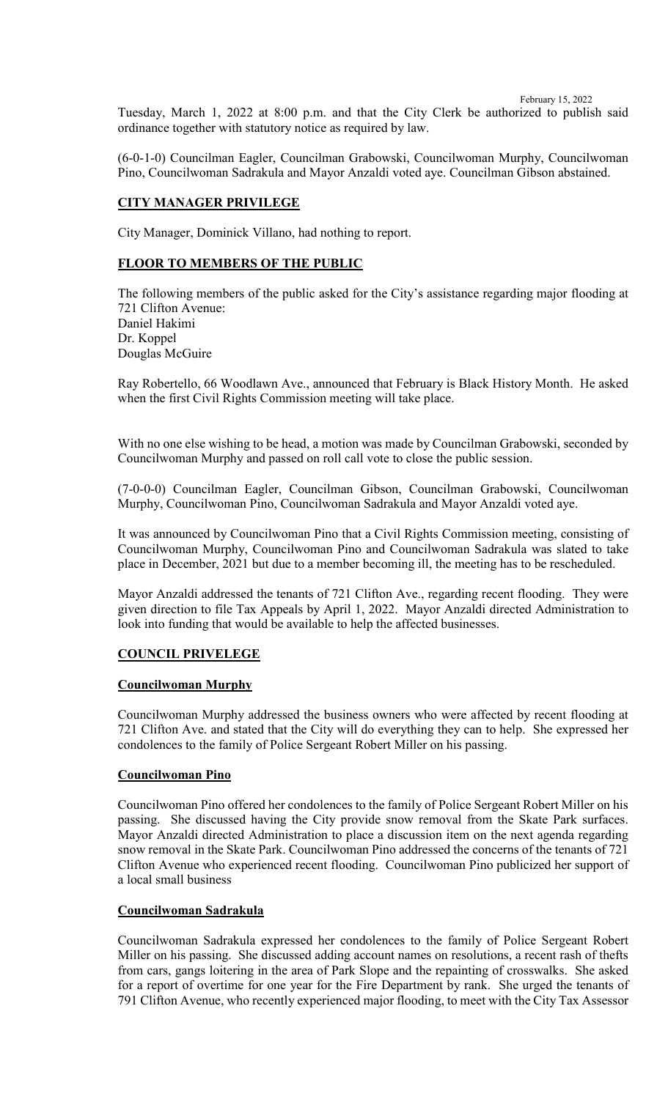Tuesday, March 1, 2022 at 8:00 p.m. and that the City Clerk be authorized to publish said ordinance together with statutory notice as required by law.

(6-0-1-0) Councilman Eagler, Councilman Grabowski, Councilwoman Murphy, Councilwoman Pino, Councilwoman Sadrakula and Mayor Anzaldi voted aye. Councilman Gibson abstained.

# **CITY MANAGER PRIVILEGE**

City Manager, Dominick Villano, had nothing to report.

## **FLOOR TO MEMBERS OF THE PUBLIC**

The following members of the public asked for the City's assistance regarding major flooding at 721 Clifton Avenue: Daniel Hakimi Dr. Koppel Douglas McGuire

Ray Robertello, 66 Woodlawn Ave., announced that February is Black History Month. He asked when the first Civil Rights Commission meeting will take place.

With no one else wishing to be head, a motion was made by Councilman Grabowski, seconded by Councilwoman Murphy and passed on roll call vote to close the public session.

(7-0-0-0) Councilman Eagler, Councilman Gibson, Councilman Grabowski, Councilwoman Murphy, Councilwoman Pino, Councilwoman Sadrakula and Mayor Anzaldi voted aye.

It was announced by Councilwoman Pino that a Civil Rights Commission meeting, consisting of Councilwoman Murphy, Councilwoman Pino and Councilwoman Sadrakula was slated to take place in December, 2021 but due to a member becoming ill, the meeting has to be rescheduled.

Mayor Anzaldi addressed the tenants of 721 Clifton Ave., regarding recent flooding. They were given direction to file Tax Appeals by April 1, 2022. Mayor Anzaldi directed Administration to look into funding that would be available to help the affected businesses.

## **COUNCIL PRIVELEGE**

#### **Councilwoman Murphy**

Councilwoman Murphy addressed the business owners who were affected by recent flooding at 721 Clifton Ave. and stated that the City will do everything they can to help. She expressed her condolences to the family of Police Sergeant Robert Miller on his passing.

## **Councilwoman Pino**

Councilwoman Pino offered her condolences to the family of Police Sergeant Robert Miller on his passing. She discussed having the City provide snow removal from the Skate Park surfaces. Mayor Anzaldi directed Administration to place a discussion item on the next agenda regarding snow removal in the Skate Park. Councilwoman Pino addressed the concerns of the tenants of 721 Clifton Avenue who experienced recent flooding. Councilwoman Pino publicized her support of a local small business

#### **Councilwoman Sadrakula**

Councilwoman Sadrakula expressed her condolences to the family of Police Sergeant Robert Miller on his passing. She discussed adding account names on resolutions, a recent rash of thefts from cars, gangs loitering in the area of Park Slope and the repainting of crosswalks. She asked for a report of overtime for one year for the Fire Department by rank. She urged the tenants of 791 Clifton Avenue, who recently experienced major flooding, to meet with the City Tax Assessor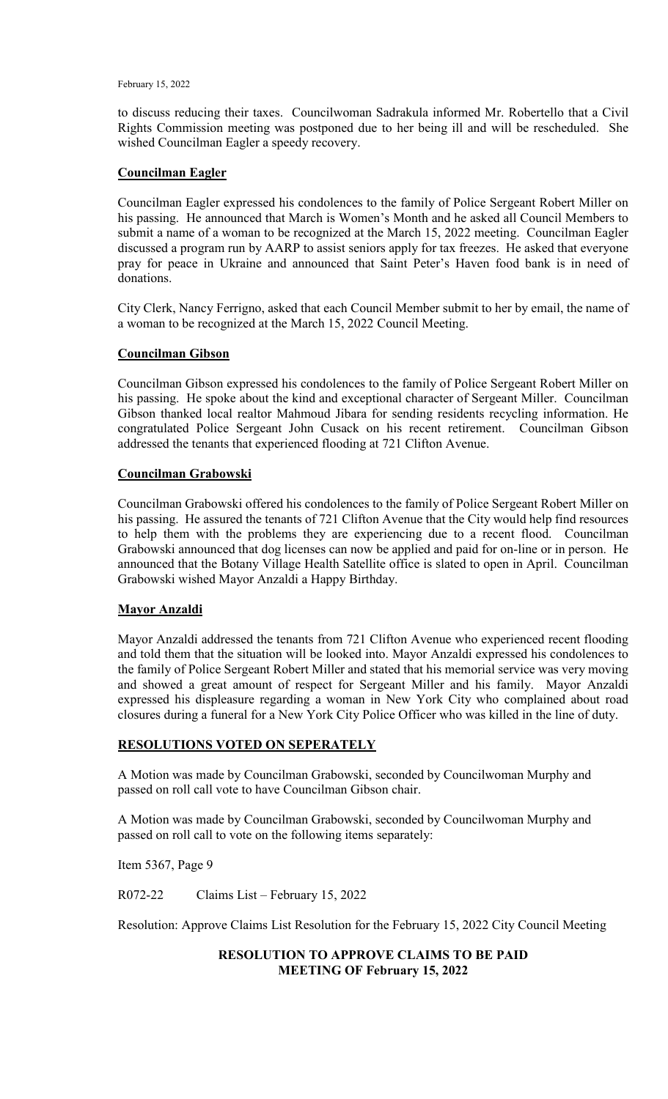to discuss reducing their taxes. Councilwoman Sadrakula informed Mr. Robertello that a Civil Rights Commission meeting was postponed due to her being ill and will be rescheduled. She wished Councilman Eagler a speedy recovery.

#### **Councilman Eagler**

Councilman Eagler expressed his condolences to the family of Police Sergeant Robert Miller on his passing. He announced that March is Women's Month and he asked all Council Members to submit a name of a woman to be recognized at the March 15, 2022 meeting. Councilman Eagler discussed a program run by AARP to assist seniors apply for tax freezes. He asked that everyone pray for peace in Ukraine and announced that Saint Peter's Haven food bank is in need of donations.

City Clerk, Nancy Ferrigno, asked that each Council Member submit to her by email, the name of a woman to be recognized at the March 15, 2022 Council Meeting.

## **Councilman Gibson**

Councilman Gibson expressed his condolences to the family of Police Sergeant Robert Miller on his passing. He spoke about the kind and exceptional character of Sergeant Miller. Councilman Gibson thanked local realtor Mahmoud Jibara for sending residents recycling information. He congratulated Police Sergeant John Cusack on his recent retirement. Councilman Gibson addressed the tenants that experienced flooding at 721 Clifton Avenue.

# **Councilman Grabowski**

Councilman Grabowski offered his condolences to the family of Police Sergeant Robert Miller on his passing. He assured the tenants of 721 Clifton Avenue that the City would help find resources to help them with the problems they are experiencing due to a recent flood. Councilman Grabowski announced that dog licenses can now be applied and paid for on-line or in person. He announced that the Botany Village Health Satellite office is slated to open in April. Councilman Grabowski wished Mayor Anzaldi a Happy Birthday.

## **Mayor Anzaldi**

Mayor Anzaldi addressed the tenants from 721 Clifton Avenue who experienced recent flooding and told them that the situation will be looked into. Mayor Anzaldi expressed his condolences to the family of Police Sergeant Robert Miller and stated that his memorial service was very moving and showed a great amount of respect for Sergeant Miller and his family. Mayor Anzaldi expressed his displeasure regarding a woman in New York City who complained about road closures during a funeral for a New York City Police Officer who was killed in the line of duty.

## **RESOLUTIONS VOTED ON SEPERATELY**

A Motion was made by Councilman Grabowski, seconded by Councilwoman Murphy and passed on roll call vote to have Councilman Gibson chair.

A Motion was made by Councilman Grabowski, seconded by Councilwoman Murphy and passed on roll call to vote on the following items separately:

Item 5367, Page 9

R072-22 Claims List – February 15, 2022

Resolution: Approve Claims List Resolution for the February 15, 2022 City Council Meeting

#### **RESOLUTION TO APPROVE CLAIMS TO BE PAID MEETING OF February 15, 2022**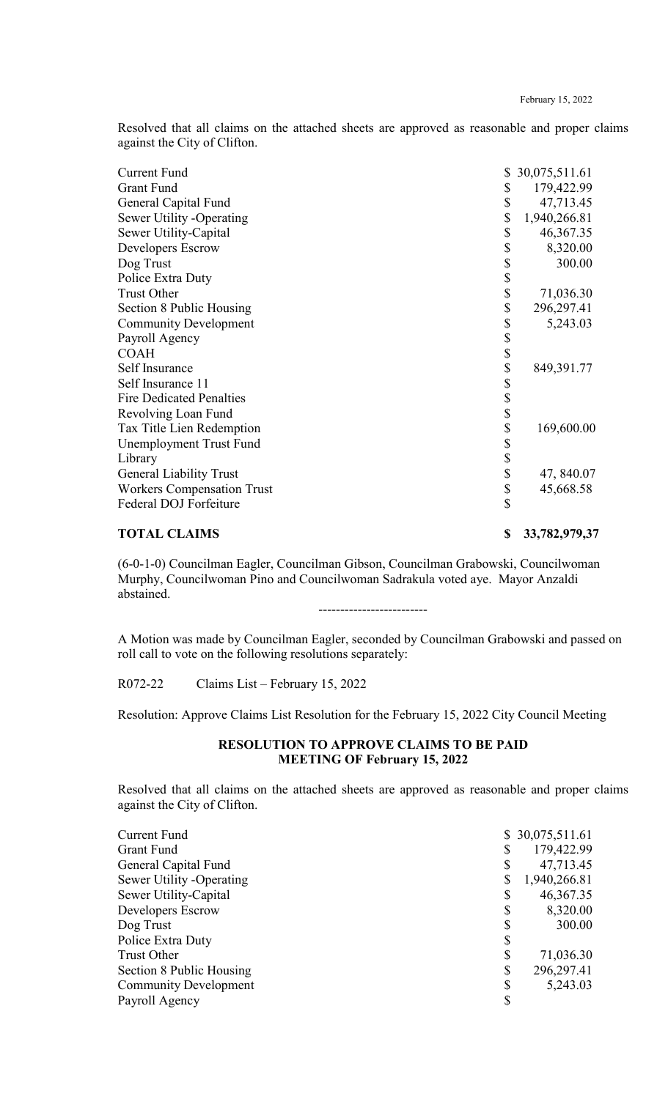Resolved that all claims on the attached sheets are approved as reasonable and proper claims against the City of Clifton.

| <b>Current Fund</b>               | \$<br>30,075,511.61 |
|-----------------------------------|---------------------|
| <b>Grant Fund</b>                 | \$<br>179,422.99    |
| General Capital Fund              | \$<br>47,713.45     |
| Sewer Utility -Operating          | \$<br>1,940,266.81  |
| Sewer Utility-Capital             | \$<br>46,367.35     |
| Developers Escrow                 | \$<br>8,320.00      |
| Dog Trust                         | \$<br>300.00        |
| Police Extra Duty                 | \$                  |
| <b>Trust Other</b>                | \$<br>71,036.30     |
| Section 8 Public Housing          | \$<br>296,297.41    |
| <b>Community Development</b>      | \$<br>5,243.03      |
| Payroll Agency                    | \$                  |
| <b>COAH</b>                       | \$                  |
| Self Insurance                    | \$<br>849,391.77    |
| Self Insurance 11                 | \$                  |
| <b>Fire Dedicated Penalties</b>   | \$                  |
| Revolving Loan Fund               | \$                  |
| Tax Title Lien Redemption         | \$<br>169,600.00    |
| Unemployment Trust Fund           | \$                  |
| Library                           | \$                  |
| <b>General Liability Trust</b>    | \$<br>47, 840.07    |
| <b>Workers Compensation Trust</b> | \$<br>45,668.58     |
| Federal DOJ Forfeiture            | \$                  |
|                                   |                     |

# **TOTAL CLAIMS \$ 33,782,979,37**

(6-0-1-0) Councilman Eagler, Councilman Gibson, Councilman Grabowski, Councilwoman Murphy, Councilwoman Pino and Councilwoman Sadrakula voted aye. Mayor Anzaldi abstained.

-------------------------

A Motion was made by Councilman Eagler, seconded by Councilman Grabowski and passed on roll call to vote on the following resolutions separately:

R072-22 Claims List – February 15, 2022

Resolution: Approve Claims List Resolution for the February 15, 2022 City Council Meeting

#### **RESOLUTION TO APPROVE CLAIMS TO BE PAID MEETING OF February 15, 2022**

Resolved that all claims on the attached sheets are approved as reasonable and proper claims against the City of Clifton.

| <b>Current Fund</b>          |    | \$30,075,511.61 |
|------------------------------|----|-----------------|
| <b>Grant Fund</b>            |    | 179,422.99      |
| General Capital Fund         |    | 47,713.45       |
| Sewer Utility -Operating     |    | 1,940,266.81    |
| Sewer Utility-Capital        |    | 46,367.35       |
| Developers Escrow            |    | 8,320.00        |
| Dog Trust                    |    | 300.00          |
| Police Extra Duty            | S  |                 |
| Trust Other                  |    | 71,036.30       |
| Section 8 Public Housing     | \$ | 296,297.41      |
| <b>Community Development</b> |    | 5,243.03        |
| Payroll Agency               |    |                 |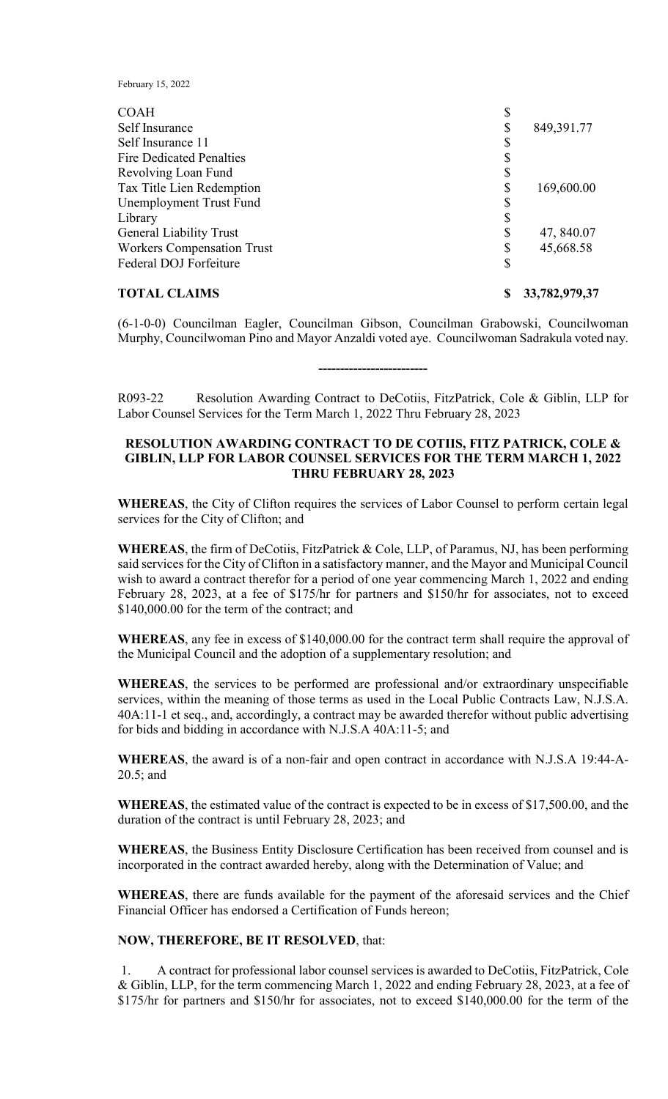| <b>TOTAL CLAIMS</b>               | \$<br>33,782,979,37 |
|-----------------------------------|---------------------|
| Federal DOJ Forfeiture            | \$                  |
| <b>Workers Compensation Trust</b> | \$<br>45,668.58     |
| <b>General Liability Trust</b>    | \$<br>47, 840.07    |
| Library                           |                     |
| Unemployment Trust Fund           | \$                  |
| Tax Title Lien Redemption         | \$<br>169,600.00    |
| Revolving Loan Fund               | \$                  |
| <b>Fire Dedicated Penalties</b>   |                     |
| Self Insurance 11                 |                     |
| Self Insurance                    | \$<br>849,391.77    |
| <b>COAH</b>                       | \$                  |

(6-1-0-0) Councilman Eagler, Councilman Gibson, Councilman Grabowski, Councilwoman Murphy, Councilwoman Pino and Mayor Anzaldi voted aye. Councilwoman Sadrakula voted nay.

R093-22 Resolution Awarding Contract to DeCotiis, FitzPatrick, Cole & Giblin, LLP for Labor Counsel Services for the Term March 1, 2022 Thru February 28, 2023

**-------------------------**

#### **RESOLUTION AWARDING CONTRACT TO DE COTIIS, FITZ PATRICK, COLE & GIBLIN, LLP FOR LABOR COUNSEL SERVICES FOR THE TERM MARCH 1, 2022 THRU FEBRUARY 28, 2023**

**WHEREAS**, the City of Clifton requires the services of Labor Counsel to perform certain legal services for the City of Clifton; and

**WHEREAS**, the firm of DeCotiis, FitzPatrick & Cole, LLP, of Paramus, NJ, has been performing said services for the City of Clifton in a satisfactory manner, and the Mayor and Municipal Council wish to award a contract therefor for a period of one year commencing March 1, 2022 and ending February 28, 2023, at a fee of \$175/hr for partners and \$150/hr for associates, not to exceed \$140,000.00 for the term of the contract; and

**WHEREAS**, any fee in excess of \$140,000.00 for the contract term shall require the approval of the Municipal Council and the adoption of a supplementary resolution; and

**WHEREAS**, the services to be performed are professional and/or extraordinary unspecifiable services, within the meaning of those terms as used in the Local Public Contracts Law, N.J.S.A. 40A:11-1 et seq., and, accordingly, a contract may be awarded therefor without public advertising for bids and bidding in accordance with N.J.S.A 40A:11-5; and

**WHEREAS**, the award is of a non-fair and open contract in accordance with N.J.S.A 19:44-A-20.5; and

**WHEREAS**, the estimated value of the contract is expected to be in excess of \$17,500.00, and the duration of the contract is until February 28, 2023; and

**WHEREAS**, the Business Entity Disclosure Certification has been received from counsel and is incorporated in the contract awarded hereby, along with the Determination of Value; and

**WHEREAS**, there are funds available for the payment of the aforesaid services and the Chief Financial Officer has endorsed a Certification of Funds hereon;

#### **NOW, THEREFORE, BE IT RESOLVED**, that:

1. A contract for professional labor counsel services is awarded to DeCotiis, FitzPatrick, Cole & Giblin, LLP, for the term commencing March 1, 2022 and ending February 28, 2023, at a fee of \$175/hr for partners and \$150/hr for associates, not to exceed \$140,000.00 for the term of the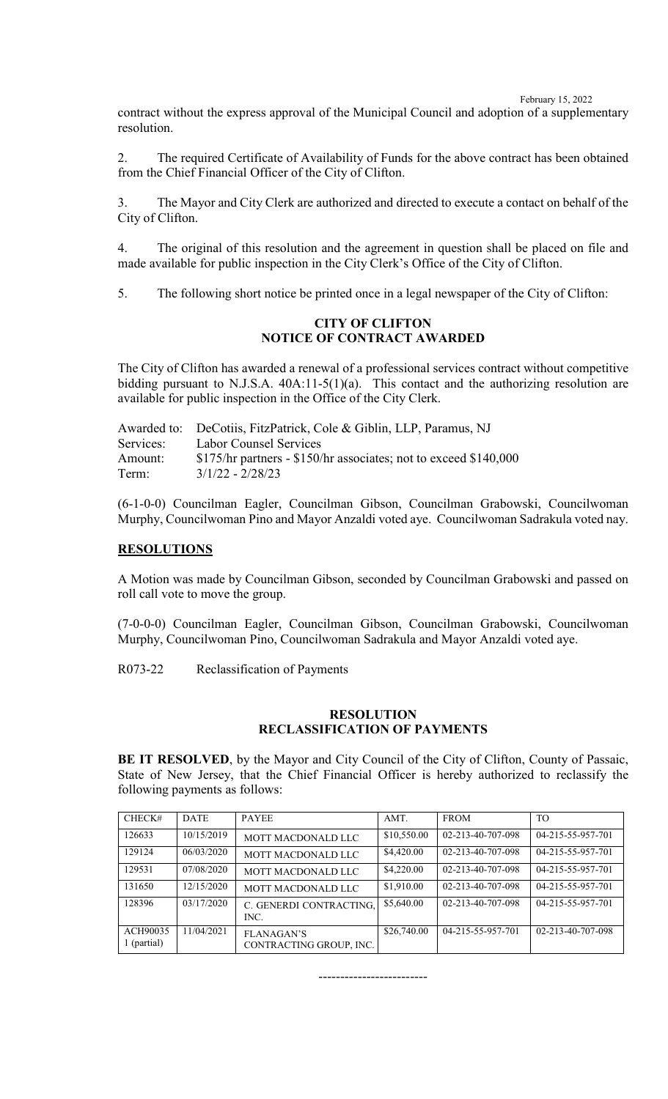contract without the express approval of the Municipal Council and adoption of a supplementary resolution.

2. The required Certificate of Availability of Funds for the above contract has been obtained from the Chief Financial Officer of the City of Clifton.

3. The Mayor and City Clerk are authorized and directed to execute a contact on behalf of the City of Clifton.

4. The original of this resolution and the agreement in question shall be placed on file and made available for public inspection in the City Clerk's Office of the City of Clifton.

5. The following short notice be printed once in a legal newspaper of the City of Clifton:

# **CITY OF CLIFTON NOTICE OF CONTRACT AWARDED**

The City of Clifton has awarded a renewal of a professional services contract without competitive bidding pursuant to N.J.S.A. 40A:11-5(1)(a). This contact and the authorizing resolution are available for public inspection in the Office of the City Clerk.

|           | Awarded to: DeCotiis, FitzPatrick, Cole & Giblin, LLP, Paramus, NJ  |
|-----------|---------------------------------------------------------------------|
| Services: | <b>Labor Counsel Services</b>                                       |
| Amount:   | $$175/hr$ partners - $$150/hr$ associates; not to exceed $$140,000$ |
| Term:     | $3/1/22 - 2/28/23$                                                  |

(6-1-0-0) Councilman Eagler, Councilman Gibson, Councilman Grabowski, Councilwoman Murphy, Councilwoman Pino and Mayor Anzaldi voted aye. Councilwoman Sadrakula voted nay.

#### **RESOLUTIONS**

A Motion was made by Councilman Gibson, seconded by Councilman Grabowski and passed on roll call vote to move the group.

(7-0-0-0) Councilman Eagler, Councilman Gibson, Councilman Grabowski, Councilwoman Murphy, Councilwoman Pino, Councilwoman Sadrakula and Mayor Anzaldi voted aye.

R073-22 Reclassification of Payments

## **RESOLUTION RECLASSIFICATION OF PAYMENTS**

**BE IT RESOLVED**, by the Mayor and City Council of the City of Clifton, County of Passaic, State of New Jersey, that the Chief Financial Officer is hereby authorized to reclassify the following payments as follows:

| CHECK#                  | <b>DATE</b> | <b>PAYEE</b>                                 | AMT.        | <b>FROM</b>       | <b>TO</b>         |
|-------------------------|-------------|----------------------------------------------|-------------|-------------------|-------------------|
| 126633                  | 10/15/2019  | MOTT MACDONALD LLC                           | \$10,550.00 | 02-213-40-707-098 | 04-215-55-957-701 |
| 129124                  | 06/03/2020  | MOTT MACDONALD LLC                           | \$4,420.00  | 02-213-40-707-098 | 04-215-55-957-701 |
| 129531                  | 07/08/2020  | MOTT MACDONALD LLC                           | \$4,220.00  | 02-213-40-707-098 | 04-215-55-957-701 |
| 131650                  | 12/15/2020  | MOTT MACDONALD LLC                           | \$1,910.00  | 02-213-40-707-098 | 04-215-55-957-701 |
| 128396                  | 03/17/2020  | C. GENERDI CONTRACTING,<br>INC.              | \$5,640.00  | 02-213-40-707-098 | 04-215-55-957-701 |
| ACH90035<br>1 (partial) | 11/04/2021  | <b>FLANAGAN'S</b><br>CONTRACTING GROUP, INC. | \$26,740.00 | 04-215-55-957-701 | 02-213-40-707-098 |

-------------------------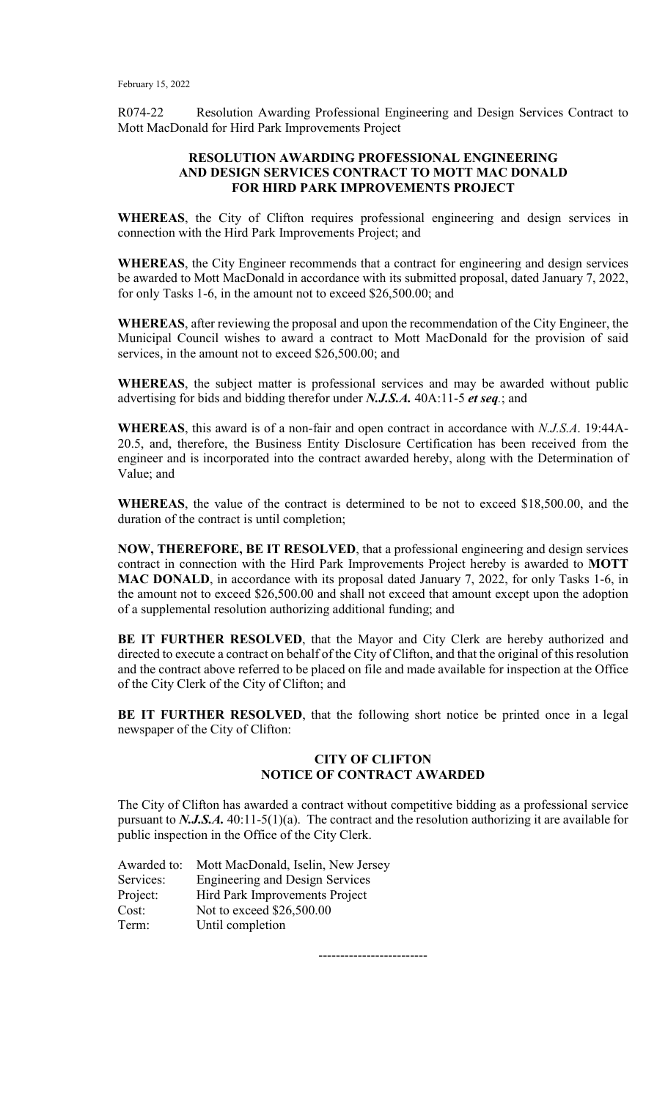R074-22 Resolution Awarding Professional Engineering and Design Services Contract to Mott MacDonald for Hird Park Improvements Project

#### **RESOLUTION AWARDING PROFESSIONAL ENGINEERING AND DESIGN SERVICES CONTRACT TO MOTT MAC DONALD FOR HIRD PARK IMPROVEMENTS PROJECT**

**WHEREAS**, the City of Clifton requires professional engineering and design services in connection with the Hird Park Improvements Project; and

**WHEREAS**, the City Engineer recommends that a contract for engineering and design services be awarded to Mott MacDonald in accordance with its submitted proposal, dated January 7, 2022, for only Tasks 1-6, in the amount not to exceed \$26,500.00; and

**WHEREAS**, after reviewing the proposal and upon the recommendation of the City Engineer, the Municipal Council wishes to award a contract to Mott MacDonald for the provision of said services, in the amount not to exceed \$26,500.00; and

**WHEREAS**, the subject matter is professional services and may be awarded without public advertising for bids and bidding therefor under *N.J.S.A.* 40A:11-5 *et seq.*; and

**WHEREAS**, this award is of a non-fair and open contract in accordance with *N.J.S.A*. 19:44A-20.5, and, therefore, the Business Entity Disclosure Certification has been received from the engineer and is incorporated into the contract awarded hereby, along with the Determination of Value; and

**WHEREAS**, the value of the contract is determined to be not to exceed \$18,500.00, and the duration of the contract is until completion;

**NOW, THEREFORE, BE IT RESOLVED**, that a professional engineering and design services contract in connection with the Hird Park Improvements Project hereby is awarded to **MOTT MAC DONALD**, in accordance with its proposal dated January 7, 2022, for only Tasks 1-6, in the amount not to exceed \$26,500.00 and shall not exceed that amount except upon the adoption of a supplemental resolution authorizing additional funding; and

**BE IT FURTHER RESOLVED**, that the Mayor and City Clerk are hereby authorized and directed to execute a contract on behalf of the City of Clifton, and that the original of this resolution and the contract above referred to be placed on file and made available for inspection at the Office of the City Clerk of the City of Clifton; and

**BE IT FURTHER RESOLVED**, that the following short notice be printed once in a legal newspaper of the City of Clifton:

# **CITY OF CLIFTON NOTICE OF CONTRACT AWARDED**

The City of Clifton has awarded a contract without competitive bidding as a professional service pursuant to *N.J.S.A.* 40:11-5(1)(a). The contract and the resolution authorizing it are available for public inspection in the Office of the City Clerk.

| Awarded to: | Mott MacDonald, Iselin, New Jersey     |
|-------------|----------------------------------------|
| Services:   | <b>Engineering and Design Services</b> |
| Project:    | Hird Park Improvements Project         |
| Cost:       | Not to exceed \$26,500.00              |
| Term:       | Until completion                       |

-------------------------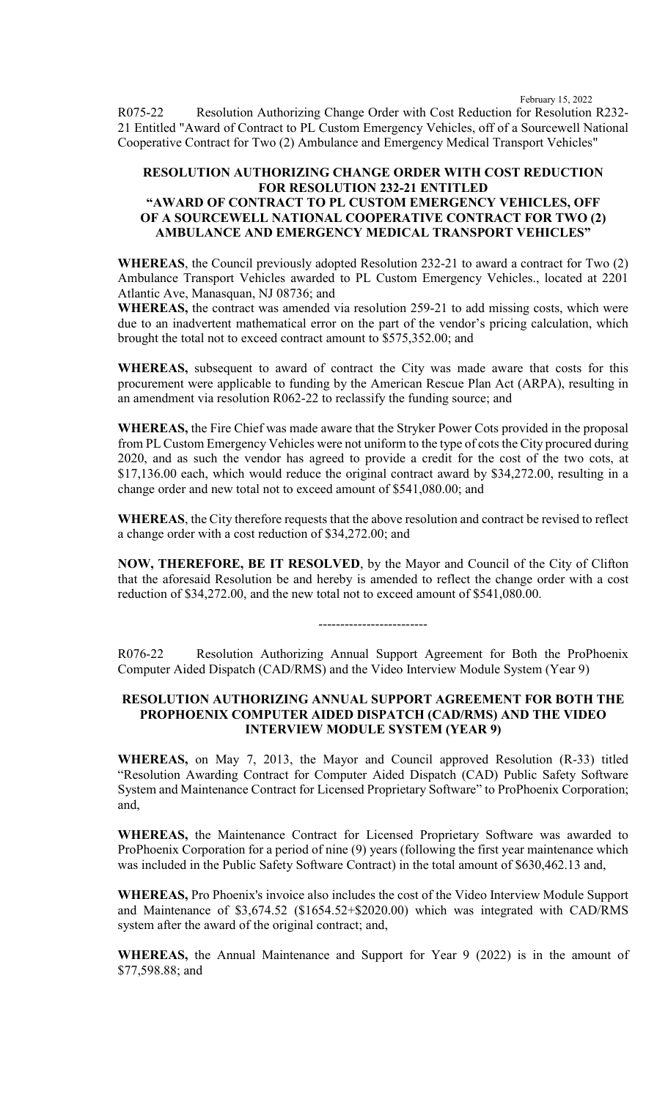R075-22 Resolution Authorizing Change Order with Cost Reduction for Resolution R232- 21 Entitled "Award of Contract to PL Custom Emergency Vehicles, off of a Sourcewell National Cooperative Contract for Two (2) Ambulance and Emergency Medical Transport Vehicles"

# **RESOLUTION AUTHORIZING CHANGE ORDER WITH COST REDUCTION FOR RESOLUTION 232-21 ENTITLED "AWARD OF CONTRACT TO PL CUSTOM EMERGENCY VEHICLES, OFF OF A SOURCEWELL NATIONAL COOPERATIVE CONTRACT FOR TWO (2) AMBULANCE AND EMERGENCY MEDICAL TRANSPORT VEHICLES"**

**WHEREAS**, the Council previously adopted Resolution 232-21 to award a contract for Two (2) Ambulance Transport Vehicles awarded to PL Custom Emergency Vehicles., located at 2201 Atlantic Ave, Manasquan, NJ 08736; and

**WHEREAS,** the contract was amended via resolution 259-21 to add missing costs, which were due to an inadvertent mathematical error on the part of the vendor's pricing calculation, which brought the total not to exceed contract amount to \$575,352.00; and

**WHEREAS,** subsequent to award of contract the City was made aware that costs for this procurement were applicable to funding by the American Rescue Plan Act (ARPA), resulting in an amendment via resolution R062-22 to reclassify the funding source; and

**WHEREAS,** the Fire Chief was made aware that the Stryker Power Cots provided in the proposal from PL Custom Emergency Vehicles were not uniform to the type of cots the City procured during 2020, and as such the vendor has agreed to provide a credit for the cost of the two cots, at \$17,136.00 each, which would reduce the original contract award by \$34,272.00, resulting in a change order and new total not to exceed amount of \$541,080.00; and

**WHEREAS**, the City therefore requests that the above resolution and contract be revised to reflect a change order with a cost reduction of \$34,272.00; and

**NOW, THEREFORE, BE IT RESOLVED**, by the Mayor and Council of the City of Clifton that the aforesaid Resolution be and hereby is amended to reflect the change order with a cost reduction of \$34,272.00, and the new total not to exceed amount of \$541,080.00.

R076-22 Resolution Authorizing Annual Support Agreement for Both the ProPhoenix Computer Aided Dispatch (CAD/RMS) and the Video Interview Module System (Year 9)

-------------------------

#### **RESOLUTION AUTHORIZING ANNUAL SUPPORT AGREEMENT FOR BOTH THE PROPHOENIX COMPUTER AIDED DISPATCH (CAD/RMS) AND THE VIDEO INTERVIEW MODULE SYSTEM (YEAR 9)**

**WHEREAS,** on May 7, 2013, the Mayor and Council approved Resolution (R-33) titled "Resolution Awarding Contract for Computer Aided Dispatch (CAD) Public Safety Software System and Maintenance Contract for Licensed Proprietary Software" to ProPhoenix Corporation; and,

**WHEREAS,** the Maintenance Contract for Licensed Proprietary Software was awarded to ProPhoenix Corporation for a period of nine (9) years (following the first year maintenance which was included in the Public Safety Software Contract) in the total amount of \$630,462.13 and,

**WHEREAS,** Pro Phoenix's invoice also includes the cost of the Video Interview Module Support and Maintenance of \$3,674.52 (\$1654.52+\$2020.00) which was integrated with CAD/RMS system after the award of the original contract; and,

**WHEREAS,** the Annual Maintenance and Support for Year 9 (2022) is in the amount of \$77,598.88; and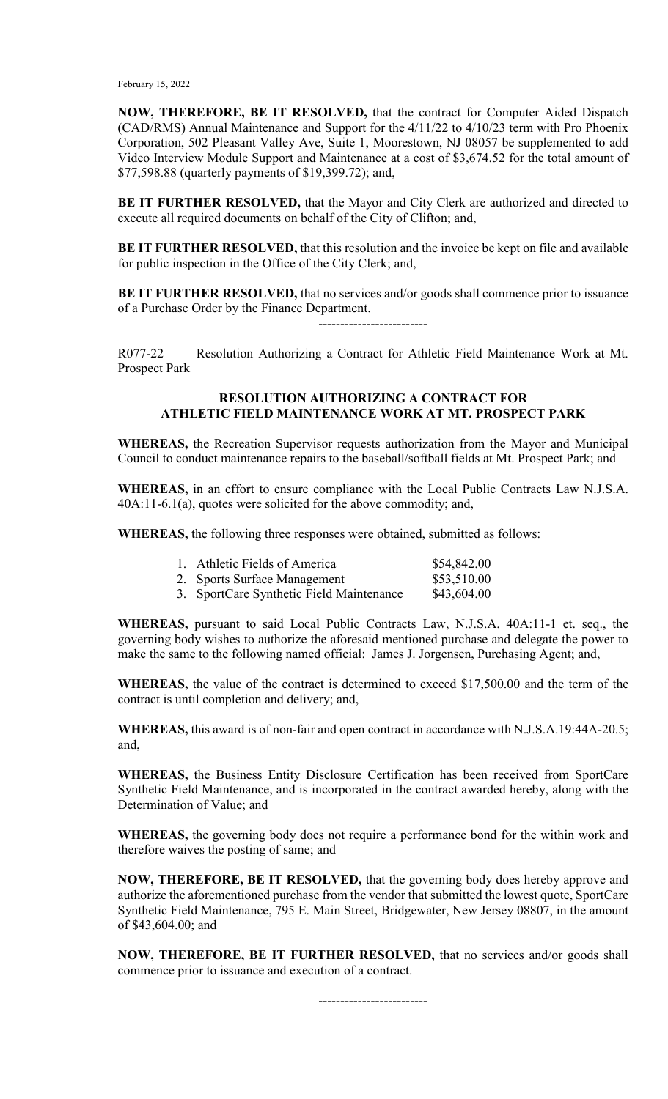**NOW, THEREFORE, BE IT RESOLVED,** that the contract for Computer Aided Dispatch (CAD/RMS) Annual Maintenance and Support for the 4/11/22 to 4/10/23 term with Pro Phoenix Corporation, 502 Pleasant Valley Ave, Suite 1, Moorestown, NJ 08057 be supplemented to add Video Interview Module Support and Maintenance at a cost of \$3,674.52 for the total amount of \$77,598.88 (quarterly payments of \$19,399.72); and,

**BE IT FURTHER RESOLVED,** that the Mayor and City Clerk are authorized and directed to execute all required documents on behalf of the City of Clifton; and,

**BE IT FURTHER RESOLVED,** that this resolution and the invoice be kept on file and available for public inspection in the Office of the City Clerk; and,

**BE IT FURTHER RESOLVED,** that no services and/or goods shall commence prior to issuance of a Purchase Order by the Finance Department.

-------------------------

R077-22 Resolution Authorizing a Contract for Athletic Field Maintenance Work at Mt. Prospect Park

## **RESOLUTION AUTHORIZING A CONTRACT FOR ATHLETIC FIELD MAINTENANCE WORK AT MT. PROSPECT PARK**

**WHEREAS,** the Recreation Supervisor requests authorization from the Mayor and Municipal Council to conduct maintenance repairs to the baseball/softball fields at Mt. Prospect Park; and

**WHEREAS,** in an effort to ensure compliance with the Local Public Contracts Law N.J.S.A. 40A:11-6.1(a), quotes were solicited for the above commodity; and,

**WHEREAS,** the following three responses were obtained, submitted as follows:

| 1. Athletic Fields of America            | \$54,842.00 |
|------------------------------------------|-------------|
| 2. Sports Surface Management             | \$53,510.00 |
| 3. SportCare Synthetic Field Maintenance | \$43,604.00 |

**WHEREAS,** pursuant to said Local Public Contracts Law, N.J.S.A. 40A:11-1 et. seq., the governing body wishes to authorize the aforesaid mentioned purchase and delegate the power to make the same to the following named official: James J. Jorgensen, Purchasing Agent; and,

**WHEREAS,** the value of the contract is determined to exceed \$17,500.00 and the term of the contract is until completion and delivery; and,

**WHEREAS,** this award is of non-fair and open contract in accordance with N.J.S.A.19:44A-20.5; and,

**WHEREAS,** the Business Entity Disclosure Certification has been received from SportCare Synthetic Field Maintenance, and is incorporated in the contract awarded hereby, along with the Determination of Value; and

**WHEREAS,** the governing body does not require a performance bond for the within work and therefore waives the posting of same; and

**NOW, THEREFORE, BE IT RESOLVED,** that the governing body does hereby approve and authorize the aforementioned purchase from the vendor that submitted the lowest quote, SportCare Synthetic Field Maintenance, 795 E. Main Street, Bridgewater, New Jersey 08807, in the amount of \$43,604.00; and

**NOW, THEREFORE, BE IT FURTHER RESOLVED,** that no services and/or goods shall commence prior to issuance and execution of a contract.

-------------------------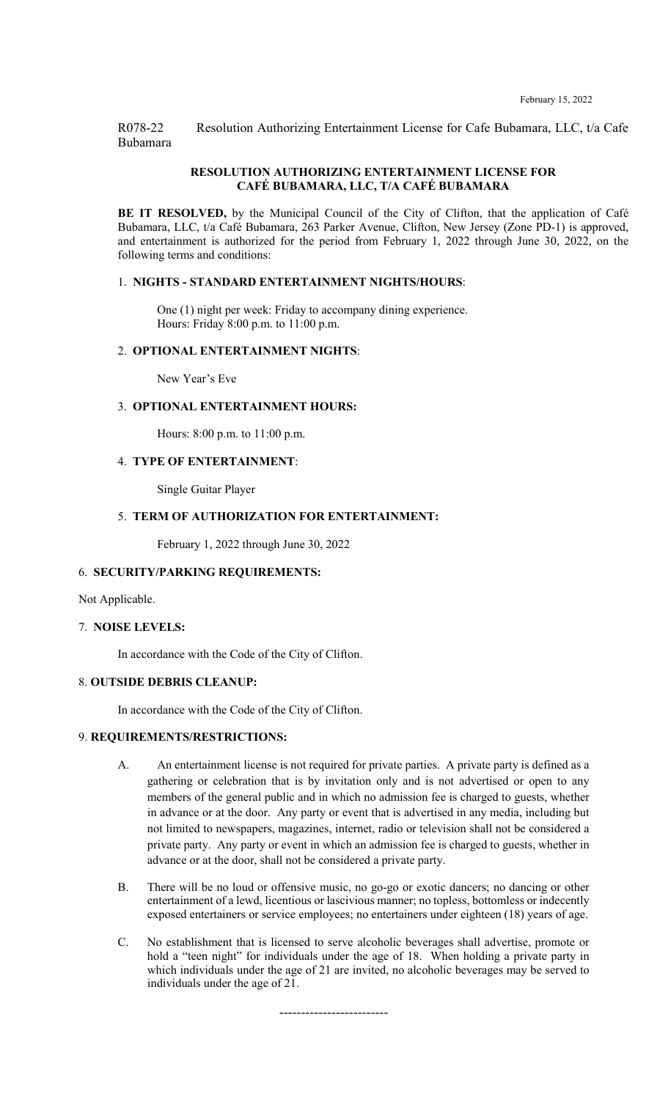R078-22 Resolution Authorizing Entertainment License for Cafe Bubamara, LLC, t/a Cafe Bubamara

#### **RESOLUTION AUTHORIZING ENTERTAINMENT LICENSE FOR CAFÉ BUBAMARA, LLC, T/A CAFÉ BUBAMARA**

BE IT RESOLVED, by the Municipal Council of the City of Clifton, that the application of Café Bubamara, LLC, t/a Café Bubamara, 263 Parker Avenue, Clifton, New Jersey (Zone PD-1) is approved, and entertainment is authorized for the period from February 1, 2022 through June 30, 2022, on the following terms and conditions:

#### 1. **NIGHTS - STANDARD ENTERTAINMENT NIGHTS/HOURS**:

One (1) night per week: Friday to accompany dining experience. Hours: Friday 8:00 p.m. to 11:00 p.m.

#### 2. **OPTIONAL ENTERTAINMENT NIGHTS**:

New Year's Eve

#### 3. **OPTIONAL ENTERTAINMENT HOURS:**

Hours: 8:00 p.m. to 11:00 p.m.

#### 4. **TYPE OF ENTERTAINMENT**:

Single Guitar Player

#### 5. **TERM OF AUTHORIZATION FOR ENTERTAINMENT:**

February 1, 2022 through June 30, 2022

#### 6. **SECURITY/PARKING REQUIREMENTS:**

Not Applicable.

#### 7. **NOISE LEVELS:**

In accordance with the Code of the City of Clifton.

#### 8. **OUTSIDE DEBRIS CLEANUP:**

In accordance with the Code of the City of Clifton.

#### 9. **REQUIREMENTS/RESTRICTIONS:**

- A. An entertainment license is not required for private parties. A private party is defined as a gathering or celebration that is by invitation only and is not advertised or open to any members of the general public and in which no admission fee is charged to guests, whether in advance or at the door. Any party or event that is advertised in any media, including but not limited to newspapers, magazines, internet, radio or television shall not be considered a private party. Any party or event in which an admission fee is charged to guests, whether in advance or at the door, shall not be considered a private party.
- B. There will be no loud or offensive music, no go-go or exotic dancers; no dancing or other entertainment of a lewd, licentious or lascivious manner; no topless, bottomless or indecently exposed entertainers or service employees; no entertainers under eighteen (18) years of age.
- C. No establishment that is licensed to serve alcoholic beverages shall advertise, promote or hold a "teen night" for individuals under the age of 18. When holding a private party in which individuals under the age of 21 are invited, no alcoholic beverages may be served to individuals under the age of 21.

-------------------------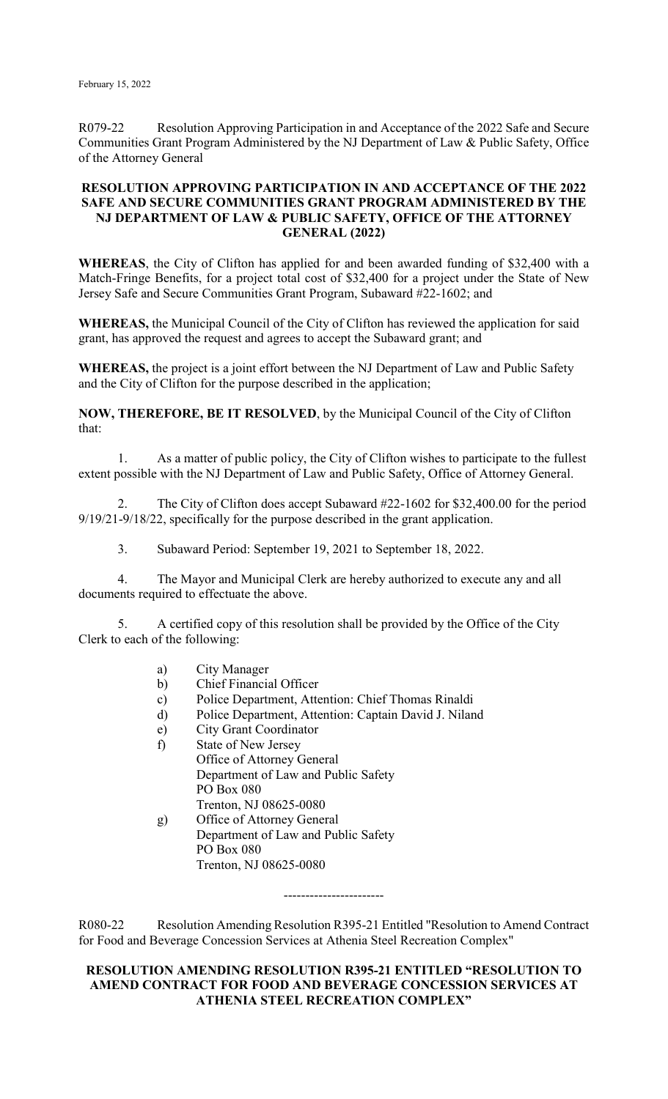R079-22 Resolution Approving Participation in and Acceptance of the 2022 Safe and Secure Communities Grant Program Administered by the NJ Department of Law & Public Safety, Office of the Attorney General

## **RESOLUTION APPROVING PARTICIPATION IN AND ACCEPTANCE OF THE 2022 SAFE AND SECURE COMMUNITIES GRANT PROGRAM ADMINISTERED BY THE NJ DEPARTMENT OF LAW & PUBLIC SAFETY, OFFICE OF THE ATTORNEY GENERAL (2022)**

**WHEREAS**, the City of Clifton has applied for and been awarded funding of \$32,400 with a Match-Fringe Benefits, for a project total cost of \$32,400 for a project under the State of New Jersey Safe and Secure Communities Grant Program, Subaward #22-1602; and

**WHEREAS,** the Municipal Council of the City of Clifton has reviewed the application for said grant, has approved the request and agrees to accept the Subaward grant; and

**WHEREAS,** the project is a joint effort between the NJ Department of Law and Public Safety and the City of Clifton for the purpose described in the application;

**NOW, THEREFORE, BE IT RESOLVED**, by the Municipal Council of the City of Clifton that:

1. As a matter of public policy, the City of Clifton wishes to participate to the fullest extent possible with the NJ Department of Law and Public Safety, Office of Attorney General.

2. The City of Clifton does accept Subaward #22-1602 for \$32,400.00 for the period 9/19/21-9/18/22, specifically for the purpose described in the grant application.

3. Subaward Period: September 19, 2021 to September 18, 2022.

4. The Mayor and Municipal Clerk are hereby authorized to execute any and all documents required to effectuate the above.

5. A certified copy of this resolution shall be provided by the Office of the City Clerk to each of the following:

- a) City Manager
- b) Chief Financial Officer
- c) Police Department, Attention: Chief Thomas Rinaldi
- d) Police Department, Attention: Captain David J. Niland
- e) City Grant Coordinator
- f) State of New Jersey
	- Office of Attorney General Department of Law and Public Safety PO Box 080 Trenton, NJ 08625-0080
- g) Office of Attorney General Department of Law and Public Safety PO Box 080 Trenton, NJ 08625-0080

R080-22 Resolution Amending Resolution R395-21 Entitled "Resolution to Amend Contract for Food and Beverage Concession Services at Athenia Steel Recreation Complex"

-----------------------

## **RESOLUTION AMENDING RESOLUTION R395-21 ENTITLED "RESOLUTION TO AMEND CONTRACT FOR FOOD AND BEVERAGE CONCESSION SERVICES AT ATHENIA STEEL RECREATION COMPLEX"**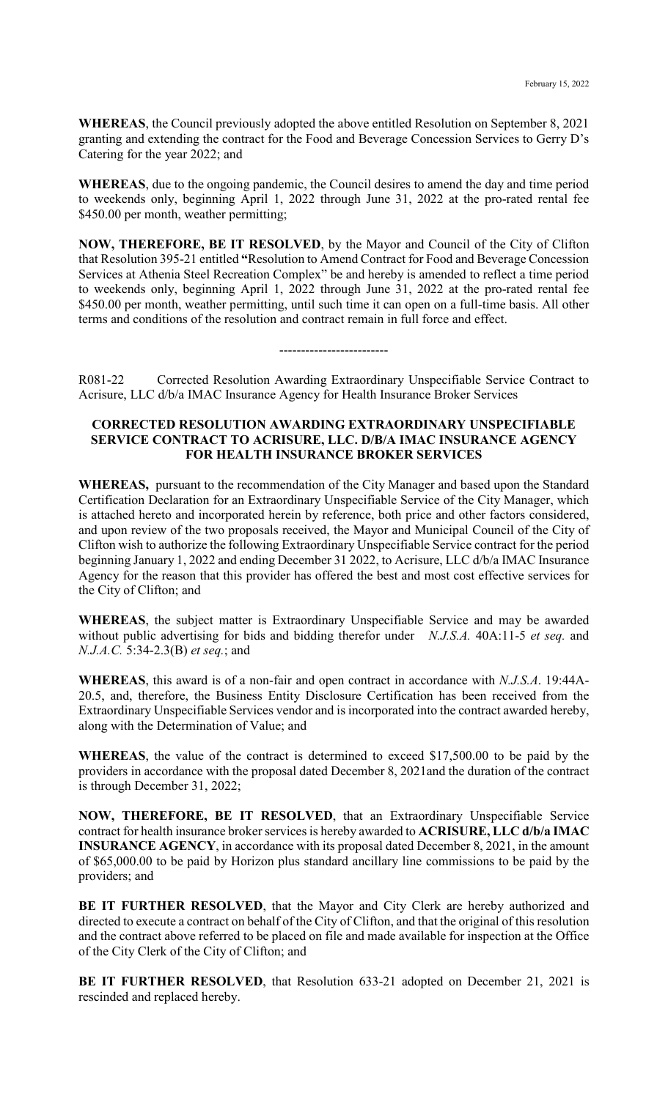**WHEREAS**, the Council previously adopted the above entitled Resolution on September 8, 2021 granting and extending the contract for the Food and Beverage Concession Services to Gerry D's Catering for the year 2022; and

**WHEREAS**, due to the ongoing pandemic, the Council desires to amend the day and time period to weekends only, beginning April 1, 2022 through June 31, 2022 at the pro-rated rental fee \$450.00 per month, weather permitting;

**NOW, THEREFORE, BE IT RESOLVED**, by the Mayor and Council of the City of Clifton that Resolution 395-21 entitled **"**Resolution to Amend Contract for Food and Beverage Concession Services at Athenia Steel Recreation Complex" be and hereby is amended to reflect a time period to weekends only, beginning April 1, 2022 through June 31, 2022 at the pro-rated rental fee \$450.00 per month, weather permitting, until such time it can open on a full-time basis. All other terms and conditions of the resolution and contract remain in full force and effect.

-------------------------

R081-22 Corrected Resolution Awarding Extraordinary Unspecifiable Service Contract to Acrisure, LLC d/b/a IMAC Insurance Agency for Health Insurance Broker Services

## **CORRECTED RESOLUTION AWARDING EXTRAORDINARY UNSPECIFIABLE SERVICE CONTRACT TO ACRISURE, LLC. D/B/A IMAC INSURANCE AGENCY FOR HEALTH INSURANCE BROKER SERVICES**

**WHEREAS,** pursuant to the recommendation of the City Manager and based upon the Standard Certification Declaration for an Extraordinary Unspecifiable Service of the City Manager, which is attached hereto and incorporated herein by reference, both price and other factors considered, and upon review of the two proposals received, the Mayor and Municipal Council of the City of Clifton wish to authorize the following Extraordinary Unspecifiable Service contract for the period beginning January 1, 2022 and ending December 31 2022, to Acrisure, LLC d/b/a IMAC Insurance Agency for the reason that this provider has offered the best and most cost effective services for the City of Clifton; and

**WHEREAS**, the subject matter is Extraordinary Unspecifiable Service and may be awarded without public advertising for bids and bidding therefor under *N.J.S.A.* 40A:11-5 *et seq.* and *N.J.A.C.* 5:34-2.3(B) *et seq.*; and

**WHEREAS**, this award is of a non-fair and open contract in accordance with *N.J.S.A*. 19:44A-20.5, and, therefore, the Business Entity Disclosure Certification has been received from the Extraordinary Unspecifiable Services vendor and is incorporated into the contract awarded hereby, along with the Determination of Value; and

**WHEREAS**, the value of the contract is determined to exceed \$17,500.00 to be paid by the providers in accordance with the proposal dated December 8, 2021and the duration of the contract is through December 31, 2022;

**NOW, THEREFORE, BE IT RESOLVED**, that an Extraordinary Unspecifiable Service contract for health insurance broker services is hereby awarded to **ACRISURE, LLC d/b/a IMAC INSURANCE AGENCY**, in accordance with its proposal dated December 8, 2021, in the amount of \$65,000.00 to be paid by Horizon plus standard ancillary line commissions to be paid by the providers; and

**BE IT FURTHER RESOLVED**, that the Mayor and City Clerk are hereby authorized and directed to execute a contract on behalf of the City of Clifton, and that the original of this resolution and the contract above referred to be placed on file and made available for inspection at the Office of the City Clerk of the City of Clifton; and

**BE IT FURTHER RESOLVED**, that Resolution 633-21 adopted on December 21, 2021 is rescinded and replaced hereby.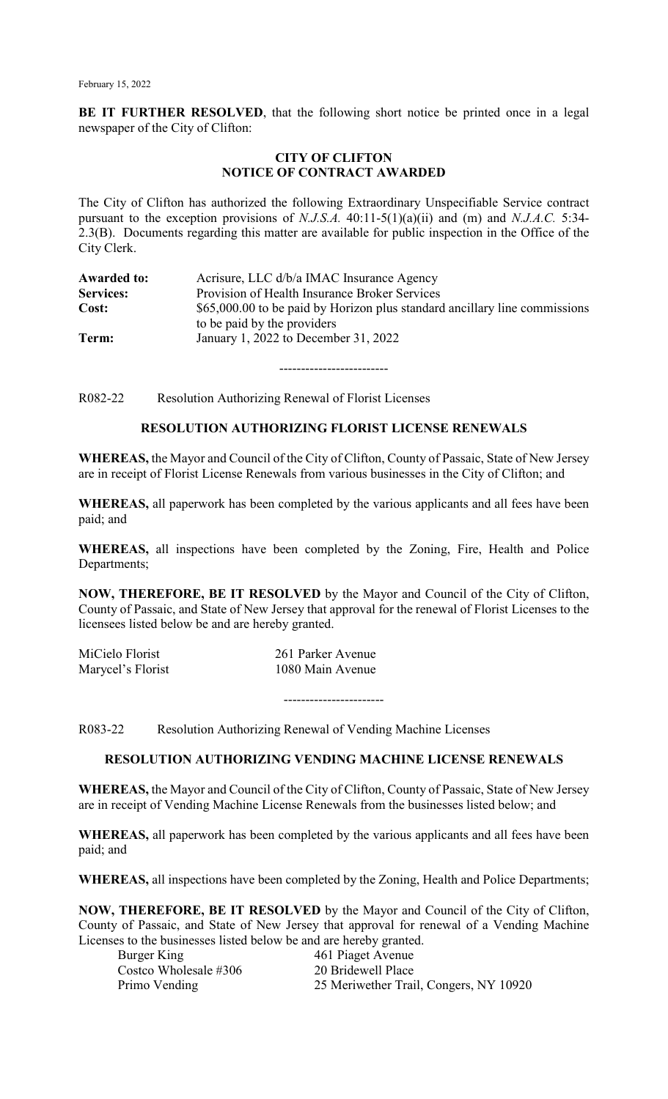**BE IT FURTHER RESOLVED**, that the following short notice be printed once in a legal newspaper of the City of Clifton:

#### **CITY OF CLIFTON NOTICE OF CONTRACT AWARDED**

The City of Clifton has authorized the following Extraordinary Unspecifiable Service contract pursuant to the exception provisions of *N.J.S.A.* 40:11-5(1)(a)(ii) and (m) and *N.J.A.C.* 5:34- 2.3(B). Documents regarding this matter are available for public inspection in the Office of the City Clerk.

| <b>Awarded to:</b> | Acrisure, LLC d/b/a IMAC Insurance Agency                                  |
|--------------------|----------------------------------------------------------------------------|
| Services:          | Provision of Health Insurance Broker Services                              |
| Cost:              | \$65,000.00 to be paid by Horizon plus standard ancillary line commissions |
|                    | to be paid by the providers                                                |
| Term:              | January 1, 2022 to December 31, 2022                                       |

-------------------------

R082-22 Resolution Authorizing Renewal of Florist Licenses

## **RESOLUTION AUTHORIZING FLORIST LICENSE RENEWALS**

**WHEREAS,** the Mayor and Council of the City of Clifton, County of Passaic, State of New Jersey are in receipt of Florist License Renewals from various businesses in the City of Clifton; and

**WHEREAS,** all paperwork has been completed by the various applicants and all fees have been paid; and

**WHEREAS,** all inspections have been completed by the Zoning, Fire, Health and Police Departments;

**NOW, THEREFORE, BE IT RESOLVED** by the Mayor and Council of the City of Clifton, County of Passaic, and State of New Jersey that approval for the renewal of Florist Licenses to the licensees listed below be and are hereby granted.

| MiCielo Florist   | 261 Parker Avenue |
|-------------------|-------------------|
| Marycel's Florist | 1080 Main Avenue  |

-----------------------

R083-22 Resolution Authorizing Renewal of Vending Machine Licenses

# **RESOLUTION AUTHORIZING VENDING MACHINE LICENSE RENEWALS**

**WHEREAS,** the Mayor and Council of the City of Clifton, County of Passaic, State of New Jersey are in receipt of Vending Machine License Renewals from the businesses listed below; and

**WHEREAS,** all paperwork has been completed by the various applicants and all fees have been paid; and

**WHEREAS,** all inspections have been completed by the Zoning, Health and Police Departments;

**NOW, THEREFORE, BE IT RESOLVED** by the Mayor and Council of the City of Clifton, County of Passaic, and State of New Jersey that approval for renewal of a Vending Machine Licenses to the businesses listed below be and are hereby granted.

| Burger King           | 461 Piaget Avenue                      |
|-----------------------|----------------------------------------|
| Costco Wholesale #306 | 20 Bridewell Place                     |
| Primo Vending         | 25 Meriwether Trail, Congers, NY 10920 |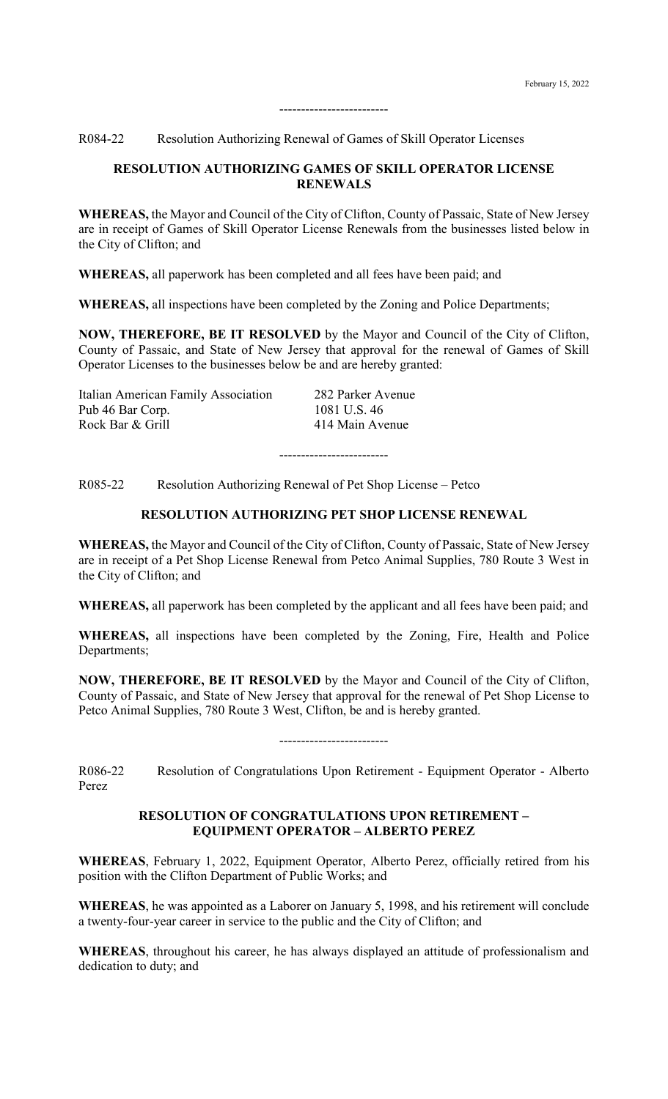R084-22 Resolution Authorizing Renewal of Games of Skill Operator Licenses

#### **RESOLUTION AUTHORIZING GAMES OF SKILL OPERATOR LICENSE RENEWALS**

-------------------------

**WHEREAS,** the Mayor and Council of the City of Clifton, County of Passaic, State of New Jersey are in receipt of Games of Skill Operator License Renewals from the businesses listed below in the City of Clifton; and

**WHEREAS,** all paperwork has been completed and all fees have been paid; and

**WHEREAS,** all inspections have been completed by the Zoning and Police Departments;

**NOW, THEREFORE, BE IT RESOLVED** by the Mayor and Council of the City of Clifton, County of Passaic, and State of New Jersey that approval for the renewal of Games of Skill Operator Licenses to the businesses below be and are hereby granted:

Italian American Family Association 282 Parker Avenue Pub 46 Bar Corp. 1081 U.S. 46 Rock Bar & Grill 414 Main Avenue

R085-22 Resolution Authorizing Renewal of Pet Shop License – Petco

# **RESOLUTION AUTHORIZING PET SHOP LICENSE RENEWAL**

-------------------------

**WHEREAS,** the Mayor and Council of the City of Clifton, County of Passaic, State of New Jersey are in receipt of a Pet Shop License Renewal from Petco Animal Supplies, 780 Route 3 West in the City of Clifton; and

**WHEREAS,** all paperwork has been completed by the applicant and all fees have been paid; and

**WHEREAS,** all inspections have been completed by the Zoning, Fire, Health and Police Departments;

**NOW, THEREFORE, BE IT RESOLVED** by the Mayor and Council of the City of Clifton, County of Passaic, and State of New Jersey that approval for the renewal of Pet Shop License to Petco Animal Supplies, 780 Route 3 West, Clifton, be and is hereby granted.

R086-22 Resolution of Congratulations Upon Retirement - Equipment Operator - Alberto Perez

-------------------------

#### **RESOLUTION OF CONGRATULATIONS UPON RETIREMENT – EQUIPMENT OPERATOR – ALBERTO PEREZ**

**WHEREAS**, February 1, 2022, Equipment Operator, Alberto Perez, officially retired from his position with the Clifton Department of Public Works; and

**WHEREAS**, he was appointed as a Laborer on January 5, 1998, and his retirement will conclude a twenty-four-year career in service to the public and the City of Clifton; and

**WHEREAS**, throughout his career, he has always displayed an attitude of professionalism and dedication to duty; and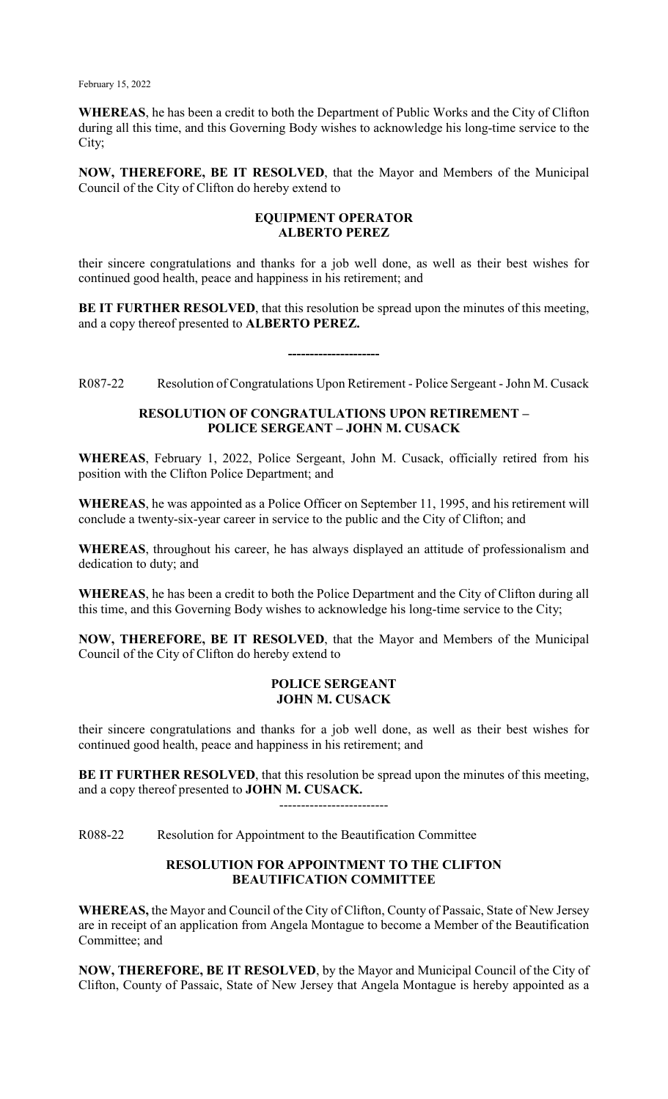**WHEREAS**, he has been a credit to both the Department of Public Works and the City of Clifton during all this time, and this Governing Body wishes to acknowledge his long-time service to the City;

**NOW, THEREFORE, BE IT RESOLVED**, that the Mayor and Members of the Municipal Council of the City of Clifton do hereby extend to

## **EQUIPMENT OPERATOR ALBERTO PEREZ**

their sincere congratulations and thanks for a job well done, as well as their best wishes for continued good health, peace and happiness in his retirement; and

**BE IT FURTHER RESOLVED**, that this resolution be spread upon the minutes of this meeting, and a copy thereof presented to **ALBERTO PEREZ.**

R087-22 Resolution of Congratulations Upon Retirement - Police Sergeant - John M. Cusack

**---------------------**

#### **RESOLUTION OF CONGRATULATIONS UPON RETIREMENT – POLICE SERGEANT – JOHN M. CUSACK**

**WHEREAS**, February 1, 2022, Police Sergeant, John M. Cusack, officially retired from his position with the Clifton Police Department; and

**WHEREAS**, he was appointed as a Police Officer on September 11, 1995, and his retirement will conclude a twenty-six-year career in service to the public and the City of Clifton; and

**WHEREAS**, throughout his career, he has always displayed an attitude of professionalism and dedication to duty; and

**WHEREAS**, he has been a credit to both the Police Department and the City of Clifton during all this time, and this Governing Body wishes to acknowledge his long-time service to the City;

**NOW, THEREFORE, BE IT RESOLVED**, that the Mayor and Members of the Municipal Council of the City of Clifton do hereby extend to

#### **POLICE SERGEANT JOHN M. CUSACK**

their sincere congratulations and thanks for a job well done, as well as their best wishes for continued good health, peace and happiness in his retirement; and

**BE IT FURTHER RESOLVED**, that this resolution be spread upon the minutes of this meeting, and a copy thereof presented to **JOHN M. CUSACK.**

-------------------------

R088-22 Resolution for Appointment to the Beautification Committee

## **RESOLUTION FOR APPOINTMENT TO THE CLIFTON BEAUTIFICATION COMMITTEE**

**WHEREAS,** the Mayor and Council of the City of Clifton, County of Passaic, State of New Jersey are in receipt of an application from Angela Montague to become a Member of the Beautification Committee; and

**NOW, THEREFORE, BE IT RESOLVED**, by the Mayor and Municipal Council of the City of Clifton, County of Passaic, State of New Jersey that Angela Montague is hereby appointed as a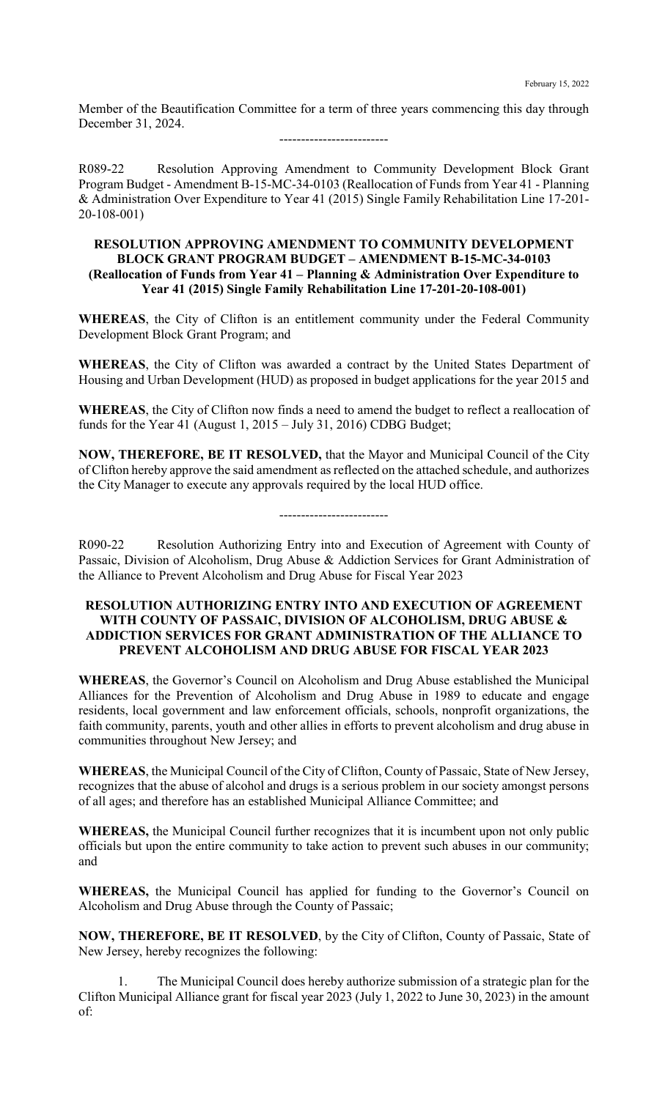Member of the Beautification Committee for a term of three years commencing this day through December 31, 2024.

-------------------------

R089-22 Resolution Approving Amendment to Community Development Block Grant Program Budget - Amendment B-15-MC-34-0103 (Reallocation of Funds from Year 41 - Planning & Administration Over Expenditure to Year 41 (2015) Single Family Rehabilitation Line 17-201- 20-108-001)

## **RESOLUTION APPROVING AMENDMENT TO COMMUNITY DEVELOPMENT BLOCK GRANT PROGRAM BUDGET – AMENDMENT B-15-MC-34-0103 (Reallocation of Funds from Year 41 – Planning & Administration Over Expenditure to Year 41 (2015) Single Family Rehabilitation Line 17-201-20-108-001)**

**WHEREAS**, the City of Clifton is an entitlement community under the Federal Community Development Block Grant Program; and

**WHEREAS**, the City of Clifton was awarded a contract by the United States Department of Housing and Urban Development (HUD) as proposed in budget applications for the year 2015 and

**WHEREAS**, the City of Clifton now finds a need to amend the budget to reflect a reallocation of funds for the Year 41 (August 1, 2015 – July 31, 2016) CDBG Budget;

**NOW, THEREFORE, BE IT RESOLVED,** that the Mayor and Municipal Council of the City of Clifton hereby approve the said amendment as reflected on the attached schedule, and authorizes the City Manager to execute any approvals required by the local HUD office.

#### -------------------------

R090-22 Resolution Authorizing Entry into and Execution of Agreement with County of Passaic, Division of Alcoholism, Drug Abuse & Addiction Services for Grant Administration of the Alliance to Prevent Alcoholism and Drug Abuse for Fiscal Year 2023

### **RESOLUTION AUTHORIZING ENTRY INTO AND EXECUTION OF AGREEMENT WITH COUNTY OF PASSAIC, DIVISION OF ALCOHOLISM, DRUG ABUSE & ADDICTION SERVICES FOR GRANT ADMINISTRATION OF THE ALLIANCE TO PREVENT ALCOHOLISM AND DRUG ABUSE FOR FISCAL YEAR 2023**

**WHEREAS**, the Governor's Council on Alcoholism and Drug Abuse established the Municipal Alliances for the Prevention of Alcoholism and Drug Abuse in 1989 to educate and engage residents, local government and law enforcement officials, schools, nonprofit organizations, the faith community, parents, youth and other allies in efforts to prevent alcoholism and drug abuse in communities throughout New Jersey; and

**WHEREAS**, the Municipal Council of the City of Clifton, County of Passaic, State of New Jersey, recognizes that the abuse of alcohol and drugs is a serious problem in our society amongst persons of all ages; and therefore has an established Municipal Alliance Committee; and

**WHEREAS,** the Municipal Council further recognizes that it is incumbent upon not only public officials but upon the entire community to take action to prevent such abuses in our community; and

**WHEREAS,** the Municipal Council has applied for funding to the Governor's Council on Alcoholism and Drug Abuse through the County of Passaic;

**NOW, THEREFORE, BE IT RESOLVED**, by the City of Clifton, County of Passaic, State of New Jersey, hereby recognizes the following:

1. The Municipal Council does hereby authorize submission of a strategic plan for the Clifton Municipal Alliance grant for fiscal year 2023 (July 1, 2022 to June 30, 2023) in the amount of: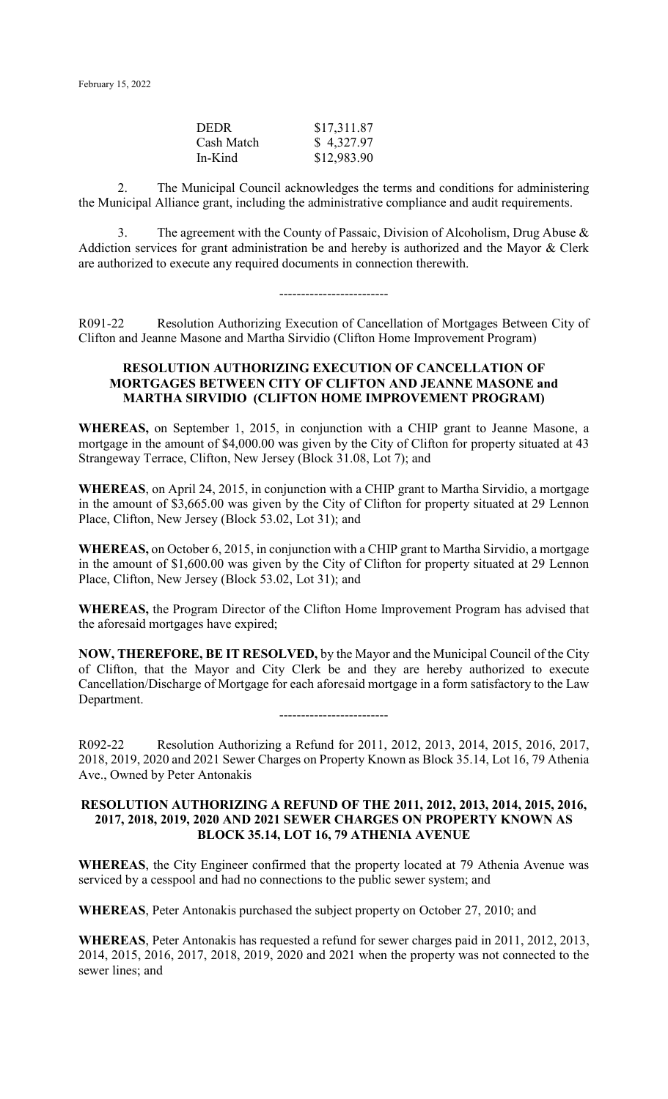| <b>DEDR</b> | \$17,311.87 |
|-------------|-------------|
| Cash Match  | \$4,327.97  |
| In-Kind     | \$12,983.90 |

2. The Municipal Council acknowledges the terms and conditions for administering the Municipal Alliance grant, including the administrative compliance and audit requirements.

3. The agreement with the County of Passaic, Division of Alcoholism, Drug Abuse & Addiction services for grant administration be and hereby is authorized and the Mayor & Clerk are authorized to execute any required documents in connection therewith.

-------------------------

R091-22 Resolution Authorizing Execution of Cancellation of Mortgages Between City of Clifton and Jeanne Masone and Martha Sirvidio (Clifton Home Improvement Program)

### **RESOLUTION AUTHORIZING EXECUTION OF CANCELLATION OF MORTGAGES BETWEEN CITY OF CLIFTON AND JEANNE MASONE and MARTHA SIRVIDIO (CLIFTON HOME IMPROVEMENT PROGRAM)**

**WHEREAS,** on September 1, 2015, in conjunction with a CHIP grant to Jeanne Masone, a mortgage in the amount of \$4,000.00 was given by the City of Clifton for property situated at 43 Strangeway Terrace, Clifton, New Jersey (Block 31.08, Lot 7); and

**WHEREAS**, on April 24, 2015, in conjunction with a CHIP grant to Martha Sirvidio, a mortgage in the amount of \$3,665.00 was given by the City of Clifton for property situated at 29 Lennon Place, Clifton, New Jersey (Block 53.02, Lot 31); and

**WHEREAS,** on October 6, 2015, in conjunction with a CHIP grant to Martha Sirvidio, a mortgage in the amount of \$1,600.00 was given by the City of Clifton for property situated at 29 Lennon Place, Clifton, New Jersey (Block 53.02, Lot 31); and

**WHEREAS,** the Program Director of the Clifton Home Improvement Program has advised that the aforesaid mortgages have expired;

**NOW, THEREFORE, BE IT RESOLVED,** by the Mayor and the Municipal Council of the City of Clifton, that the Mayor and City Clerk be and they are hereby authorized to execute Cancellation/Discharge of Mortgage for each aforesaid mortgage in a form satisfactory to the Law Department.

-------------------------

R092-22 Resolution Authorizing a Refund for 2011, 2012, 2013, 2014, 2015, 2016, 2017, 2018, 2019, 2020 and 2021 Sewer Charges on Property Known as Block 35.14, Lot 16, 79 Athenia Ave., Owned by Peter Antonakis

#### **RESOLUTION AUTHORIZING A REFUND OF THE 2011, 2012, 2013, 2014, 2015, 2016, 2017, 2018, 2019, 2020 AND 2021 SEWER CHARGES ON PROPERTY KNOWN AS BLOCK 35.14, LOT 16, 79 ATHENIA AVENUE**

**WHEREAS**, the City Engineer confirmed that the property located at 79 Athenia Avenue was serviced by a cesspool and had no connections to the public sewer system; and

**WHEREAS**, Peter Antonakis purchased the subject property on October 27, 2010; and

**WHEREAS**, Peter Antonakis has requested a refund for sewer charges paid in 2011, 2012, 2013, 2014, 2015, 2016, 2017, 2018, 2019, 2020 and 2021 when the property was not connected to the sewer lines; and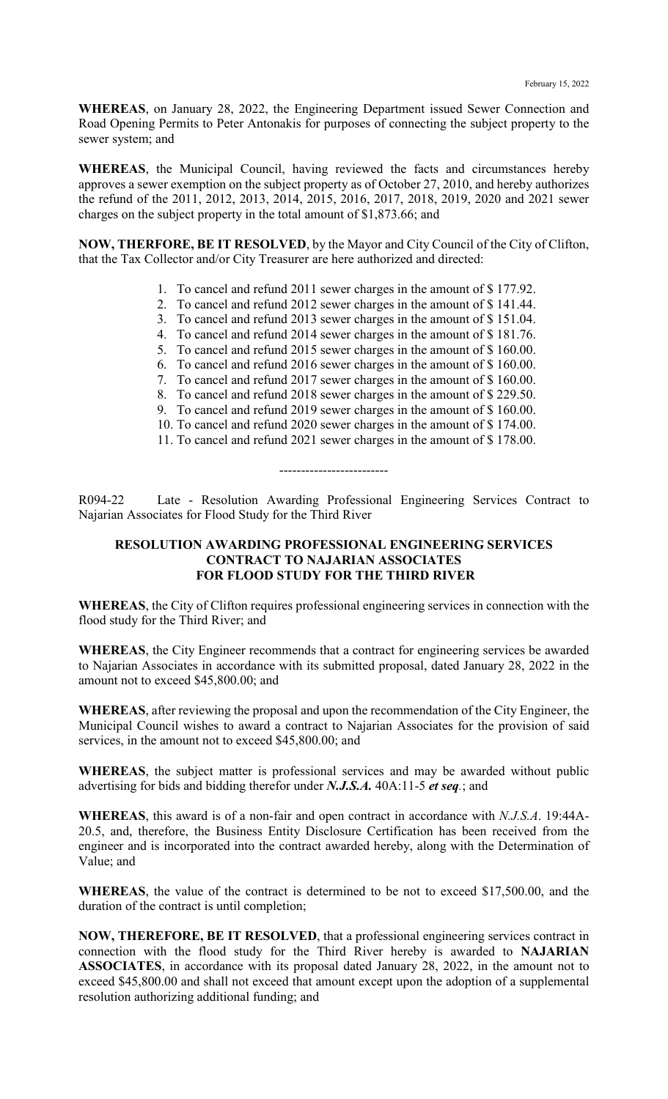**WHEREAS**, on January 28, 2022, the Engineering Department issued Sewer Connection and Road Opening Permits to Peter Antonakis for purposes of connecting the subject property to the sewer system; and

**WHEREAS**, the Municipal Council, having reviewed the facts and circumstances hereby approves a sewer exemption on the subject property as of October 27, 2010, and hereby authorizes the refund of the 2011, 2012, 2013, 2014, 2015, 2016, 2017, 2018, 2019, 2020 and 2021 sewer charges on the subject property in the total amount of \$1,873.66; and

**NOW, THERFORE, BE IT RESOLVED**, by the Mayor and City Council of the City of Clifton, that the Tax Collector and/or City Treasurer are here authorized and directed:

- 1. To cancel and refund 2011 sewer charges in the amount of \$ 177.92.
- 2. To cancel and refund 2012 sewer charges in the amount of \$ 141.44.
- 3. To cancel and refund 2013 sewer charges in the amount of \$ 151.04.
- 4. To cancel and refund 2014 sewer charges in the amount of \$ 181.76.
- 5. To cancel and refund 2015 sewer charges in the amount of \$ 160.00.
- 6. To cancel and refund 2016 sewer charges in the amount of \$ 160.00.
- 7. To cancel and refund 2017 sewer charges in the amount of \$ 160.00.
- 8. To cancel and refund 2018 sewer charges in the amount of \$ 229.50.
- 9. To cancel and refund 2019 sewer charges in the amount of \$ 160.00.
- 10. To cancel and refund 2020 sewer charges in the amount of \$ 174.00.
- 11. To cancel and refund 2021 sewer charges in the amount of \$ 178.00.

#### -------------------------

R094-22 Late - Resolution Awarding Professional Engineering Services Contract to Najarian Associates for Flood Study for the Third River

## **RESOLUTION AWARDING PROFESSIONAL ENGINEERING SERVICES CONTRACT TO NAJARIAN ASSOCIATES FOR FLOOD STUDY FOR THE THIRD RIVER**

**WHEREAS**, the City of Clifton requires professional engineering services in connection with the flood study for the Third River; and

**WHEREAS**, the City Engineer recommends that a contract for engineering services be awarded to Najarian Associates in accordance with its submitted proposal, dated January 28, 2022 in the amount not to exceed \$45,800.00; and

**WHEREAS**, after reviewing the proposal and upon the recommendation of the City Engineer, the Municipal Council wishes to award a contract to Najarian Associates for the provision of said services, in the amount not to exceed \$45,800.00; and

**WHEREAS**, the subject matter is professional services and may be awarded without public advertising for bids and bidding therefor under *N.J.S.A.* 40A:11-5 *et seq.*; and

**WHEREAS**, this award is of a non-fair and open contract in accordance with *N.J.S.A*. 19:44A-20.5, and, therefore, the Business Entity Disclosure Certification has been received from the engineer and is incorporated into the contract awarded hereby, along with the Determination of Value; and

**WHEREAS**, the value of the contract is determined to be not to exceed \$17,500.00, and the duration of the contract is until completion;

**NOW, THEREFORE, BE IT RESOLVED**, that a professional engineering services contract in connection with the flood study for the Third River hereby is awarded to **NAJARIAN ASSOCIATES**, in accordance with its proposal dated January 28, 2022, in the amount not to exceed \$45,800.00 and shall not exceed that amount except upon the adoption of a supplemental resolution authorizing additional funding; and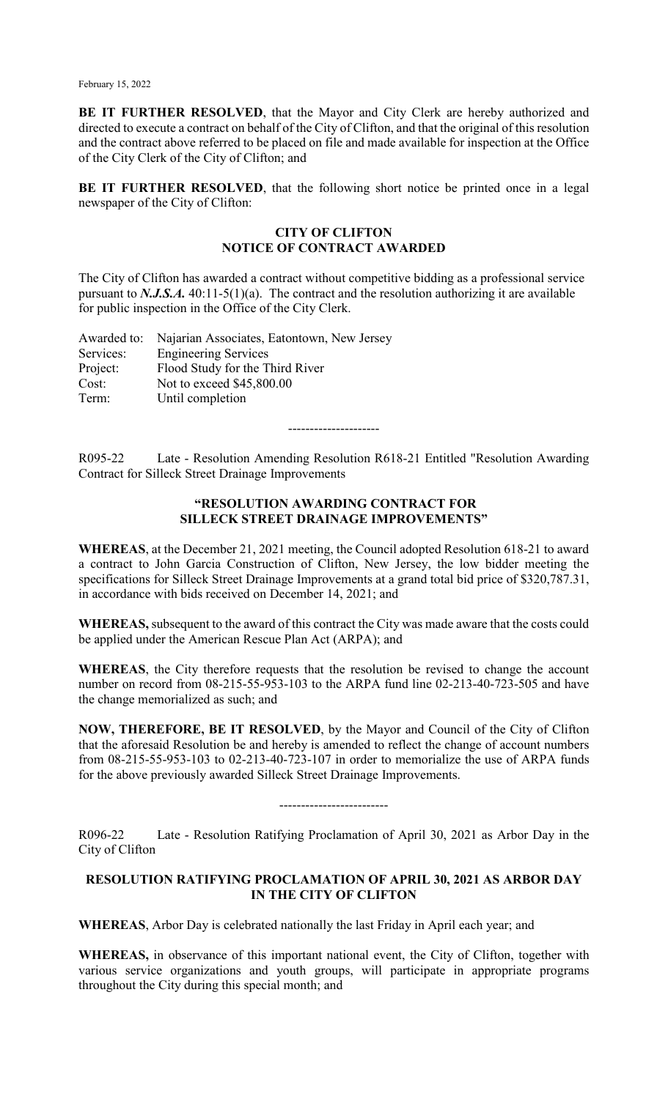**BE IT FURTHER RESOLVED**, that the Mayor and City Clerk are hereby authorized and directed to execute a contract on behalf of the City of Clifton, and that the original of this resolution and the contract above referred to be placed on file and made available for inspection at the Office of the City Clerk of the City of Clifton; and

**BE IT FURTHER RESOLVED**, that the following short notice be printed once in a legal newspaper of the City of Clifton:

# **CITY OF CLIFTON NOTICE OF CONTRACT AWARDED**

The City of Clifton has awarded a contract without competitive bidding as a professional service pursuant to *N.J.S.A.* 40:11-5(1)(a). The contract and the resolution authorizing it are available for public inspection in the Office of the City Clerk.

|           | Awarded to: Najarian Associates, Eatontown, New Jersey |
|-----------|--------------------------------------------------------|
| Services: | <b>Engineering Services</b>                            |
| Project:  | Flood Study for the Third River                        |
| Cost:     | Not to exceed \$45,800.00                              |
| Term:     | Until completion                                       |
|           |                                                        |

---------------------

R095-22 Late - Resolution Amending Resolution R618-21 Entitled "Resolution Awarding Contract for Silleck Street Drainage Improvements

# **"RESOLUTION AWARDING CONTRACT FOR SILLECK STREET DRAINAGE IMPROVEMENTS"**

**WHEREAS**, at the December 21, 2021 meeting, the Council adopted Resolution 618-21 to award a contract to John Garcia Construction of Clifton, New Jersey, the low bidder meeting the specifications for Silleck Street Drainage Improvements at a grand total bid price of \$320,787.31, in accordance with bids received on December 14, 2021; and

**WHEREAS,** subsequent to the award of this contract the City was made aware that the costs could be applied under the American Rescue Plan Act (ARPA); and

**WHEREAS**, the City therefore requests that the resolution be revised to change the account number on record from 08-215-55-953-103 to the ARPA fund line 02-213-40-723-505 and have the change memorialized as such; and

**NOW, THEREFORE, BE IT RESOLVED**, by the Mayor and Council of the City of Clifton that the aforesaid Resolution be and hereby is amended to reflect the change of account numbers from 08-215-55-953-103 to 02-213-40-723-107 in order to memorialize the use of ARPA funds for the above previously awarded Silleck Street Drainage Improvements.

-------------------------

R096-22 Late - Resolution Ratifying Proclamation of April 30, 2021 as Arbor Day in the City of Clifton

# **RESOLUTION RATIFYING PROCLAMATION OF APRIL 30, 2021 AS ARBOR DAY IN THE CITY OF CLIFTON**

**WHEREAS**, Arbor Day is celebrated nationally the last Friday in April each year; and

**WHEREAS,** in observance of this important national event, the City of Clifton, together with various service organizations and youth groups, will participate in appropriate programs throughout the City during this special month; and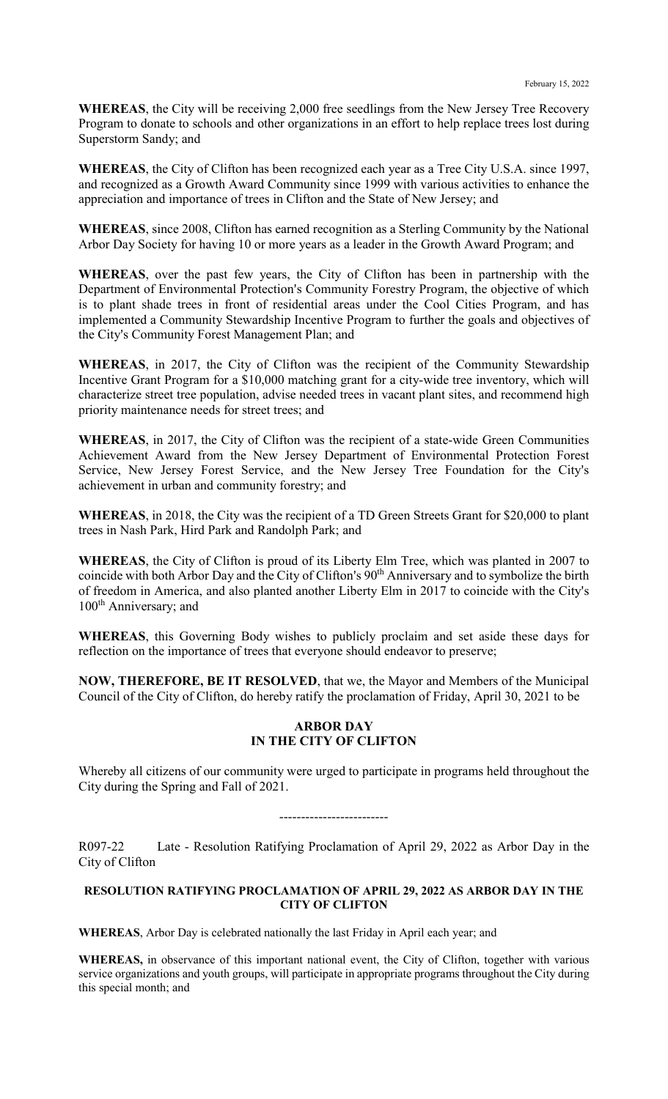**WHEREAS**, the City will be receiving 2,000 free seedlings from the New Jersey Tree Recovery Program to donate to schools and other organizations in an effort to help replace trees lost during Superstorm Sandy; and

**WHEREAS**, the City of Clifton has been recognized each year as a Tree City U.S.A. since 1997, and recognized as a Growth Award Community since 1999 with various activities to enhance the appreciation and importance of trees in Clifton and the State of New Jersey; and

**WHEREAS**, since 2008, Clifton has earned recognition as a Sterling Community by the National Arbor Day Society for having 10 or more years as a leader in the Growth Award Program; and

**WHEREAS**, over the past few years, the City of Clifton has been in partnership with the Department of Environmental Protection's Community Forestry Program, the objective of which is to plant shade trees in front of residential areas under the Cool Cities Program, and has implemented a Community Stewardship Incentive Program to further the goals and objectives of the City's Community Forest Management Plan; and

**WHEREAS**, in 2017, the City of Clifton was the recipient of the Community Stewardship Incentive Grant Program for a \$10,000 matching grant for a city-wide tree inventory, which will characterize street tree population, advise needed trees in vacant plant sites, and recommend high priority maintenance needs for street trees; and

**WHEREAS**, in 2017, the City of Clifton was the recipient of a state-wide Green Communities Achievement Award from the New Jersey Department of Environmental Protection Forest Service, New Jersey Forest Service, and the New Jersey Tree Foundation for the City's achievement in urban and community forestry; and

**WHEREAS**, in 2018, the City was the recipient of a TD Green Streets Grant for \$20,000 to plant trees in Nash Park, Hird Park and Randolph Park; and

**WHEREAS**, the City of Clifton is proud of its Liberty Elm Tree, which was planted in 2007 to coincide with both Arbor Day and the City of Clifton's 90<sup>th</sup> Anniversary and to symbolize the birth of freedom in America, and also planted another Liberty Elm in 2017 to coincide with the City's 100<sup>th</sup> Anniversary; and

**WHEREAS**, this Governing Body wishes to publicly proclaim and set aside these days for reflection on the importance of trees that everyone should endeavor to preserve;

**NOW, THEREFORE, BE IT RESOLVED**, that we, the Mayor and Members of the Municipal Council of the City of Clifton, do hereby ratify the proclamation of Friday, April 30, 2021 to be

#### **ARBOR DAY IN THE CITY OF CLIFTON**

Whereby all citizens of our community were urged to participate in programs held throughout the City during the Spring and Fall of 2021.

-------------------------

R097-22 Late - Resolution Ratifying Proclamation of April 29, 2022 as Arbor Day in the City of Clifton

#### **RESOLUTION RATIFYING PROCLAMATION OF APRIL 29, 2022 AS ARBOR DAY IN THE CITY OF CLIFTON**

**WHEREAS**, Arbor Day is celebrated nationally the last Friday in April each year; and

**WHEREAS,** in observance of this important national event, the City of Clifton, together with various service organizations and youth groups, will participate in appropriate programs throughout the City during this special month; and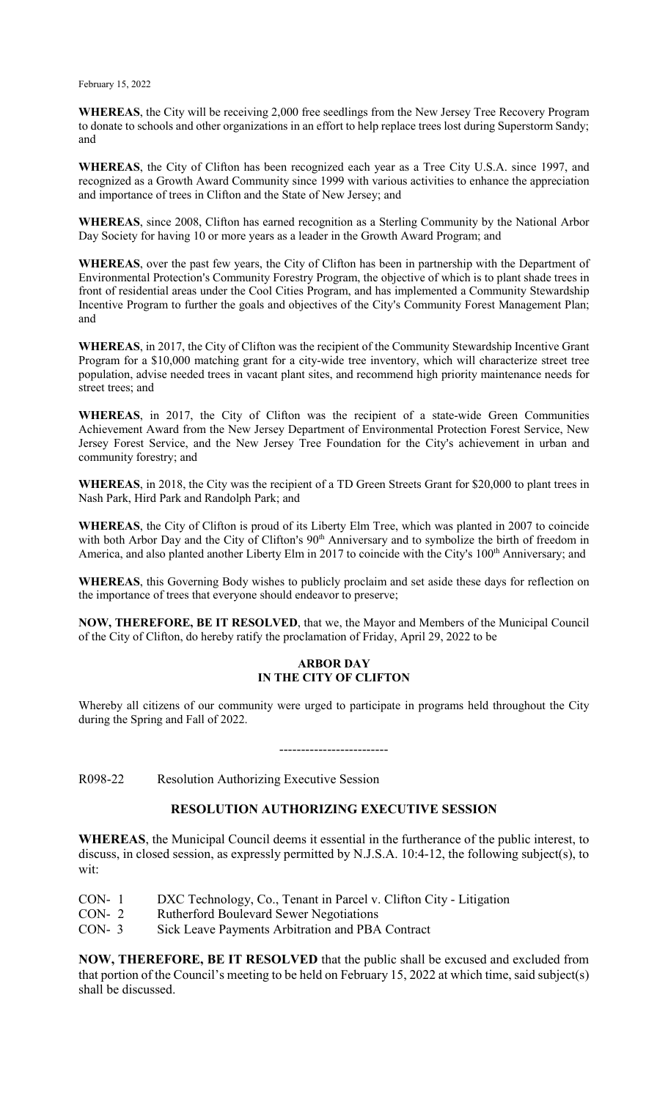**WHEREAS**, the City will be receiving 2,000 free seedlings from the New Jersey Tree Recovery Program to donate to schools and other organizations in an effort to help replace trees lost during Superstorm Sandy; and

**WHEREAS**, the City of Clifton has been recognized each year as a Tree City U.S.A. since 1997, and recognized as a Growth Award Community since 1999 with various activities to enhance the appreciation and importance of trees in Clifton and the State of New Jersey; and

**WHEREAS**, since 2008, Clifton has earned recognition as a Sterling Community by the National Arbor Day Society for having 10 or more years as a leader in the Growth Award Program; and

**WHEREAS**, over the past few years, the City of Clifton has been in partnership with the Department of Environmental Protection's Community Forestry Program, the objective of which is to plant shade trees in front of residential areas under the Cool Cities Program, and has implemented a Community Stewardship Incentive Program to further the goals and objectives of the City's Community Forest Management Plan; and

**WHEREAS**, in 2017, the City of Clifton was the recipient of the Community Stewardship Incentive Grant Program for a \$10,000 matching grant for a city-wide tree inventory, which will characterize street tree population, advise needed trees in vacant plant sites, and recommend high priority maintenance needs for street trees; and

**WHEREAS**, in 2017, the City of Clifton was the recipient of a state-wide Green Communities Achievement Award from the New Jersey Department of Environmental Protection Forest Service, New Jersey Forest Service, and the New Jersey Tree Foundation for the City's achievement in urban and community forestry; and

**WHEREAS**, in 2018, the City was the recipient of a TD Green Streets Grant for \$20,000 to plant trees in Nash Park, Hird Park and Randolph Park; and

**WHEREAS**, the City of Clifton is proud of its Liberty Elm Tree, which was planted in 2007 to coincide with both Arbor Day and the City of Clifton's 90<sup>th</sup> Anniversary and to symbolize the birth of freedom in America, and also planted another Liberty Elm in 2017 to coincide with the City's 100<sup>th</sup> Anniversary; and

**WHEREAS**, this Governing Body wishes to publicly proclaim and set aside these days for reflection on the importance of trees that everyone should endeavor to preserve;

**NOW, THEREFORE, BE IT RESOLVED**, that we, the Mayor and Members of the Municipal Council of the City of Clifton, do hereby ratify the proclamation of Friday, April 29, 2022 to be

## **ARBOR DAY IN THE CITY OF CLIFTON**

Whereby all citizens of our community were urged to participate in programs held throughout the City during the Spring and Fall of 2022.

-------------------------

R098-22 Resolution Authorizing Executive Session

## **RESOLUTION AUTHORIZING EXECUTIVE SESSION**

**WHEREAS**, the Municipal Council deems it essential in the furtherance of the public interest, to discuss, in closed session, as expressly permitted by N.J.S.A. 10:4-12, the following subject(s), to wit:

- CON- 1 DXC Technology, Co., Tenant in Parcel v. Clifton City Litigation CON- 2 Rutherford Boulevard Sewer Negotiations
- CON- 2 Rutherford Boulevard Sewer Negotiations<br>CON- 3 Sick Leave Payments Arbitration and PBA
- Sick Leave Payments Arbitration and PBA Contract

**NOW, THEREFORE, BE IT RESOLVED** that the public shall be excused and excluded from that portion of the Council's meeting to be held on February 15, 2022 at which time, said subject(s) shall be discussed.